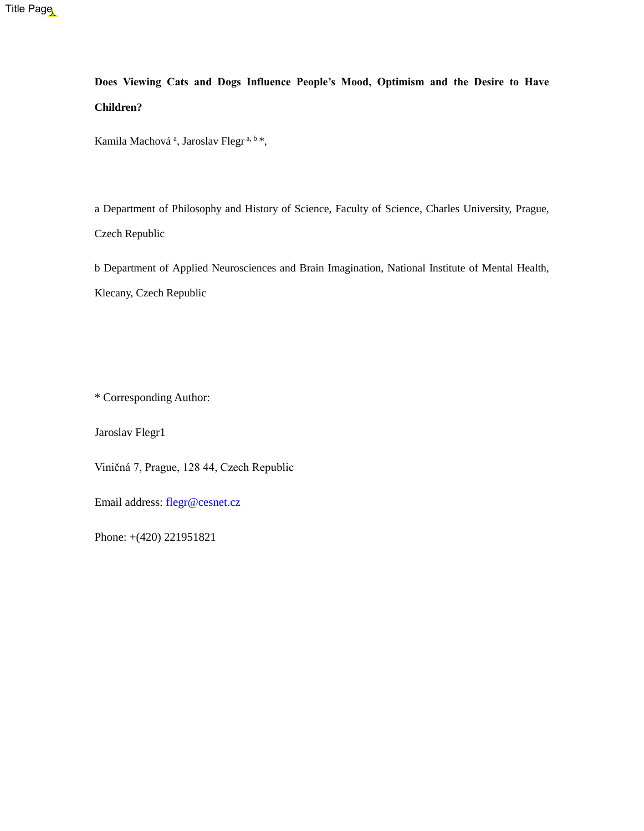**Does Viewing Cats and Dogs Influence People's Mood, Optimism and the Desire to Have Children?**

Kamila Machová<sup>a</sup>, Jaroslav Flegr<sup>a, b\*</sup>,

a Department of Philosophy and History of Science, Faculty of Science, Charles University, Prague, Czech Republic

b Department of Applied Neurosciences and Brain Imagination, National Institute of Mental Health, Klecany, Czech Republic

\* Corresponding Author:

Jaroslav Flegr1

Viničná 7, Prague, 128 44, Czech Republic

Email address: [flegr@cesnet.cz](mailto:flegr@cesnet.cz)

Phone: +(420) 221951821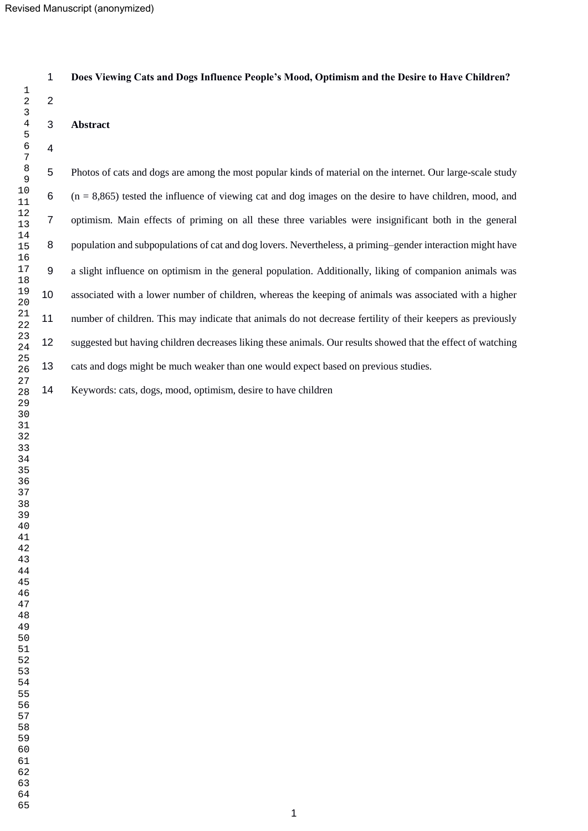### **Does Viewing Cats and Dogs Influence People's Mood, Optimism and the Desire to Have Children?**

#### **Abstract**

 Photos of cats and dogs are among the most popular kinds of material on the internet. Our large-scale study (n = 8,865) tested the influence of viewing cat and dog images on the desire to have children, mood, and optimism. Main effects of priming on all these three variables were insignificant both in the general 8 population and subpopulations of cat and dog lovers. Nevertheless, a priming–gender interaction might have a slight influence on optimism in the general population. Additionally, liking of companion animals was associated with a lower number of children, whereas the keeping of animals was associated with a higher number of children. This may indicate that animals do not decrease fertility of their keepers as previously suggested but having children decreases liking these animals. Our results showed that the effect of watching cats and dogs might be much weaker than one would expect based on previous studies.

Keywords: cats, dogs, mood, optimism, desire to have children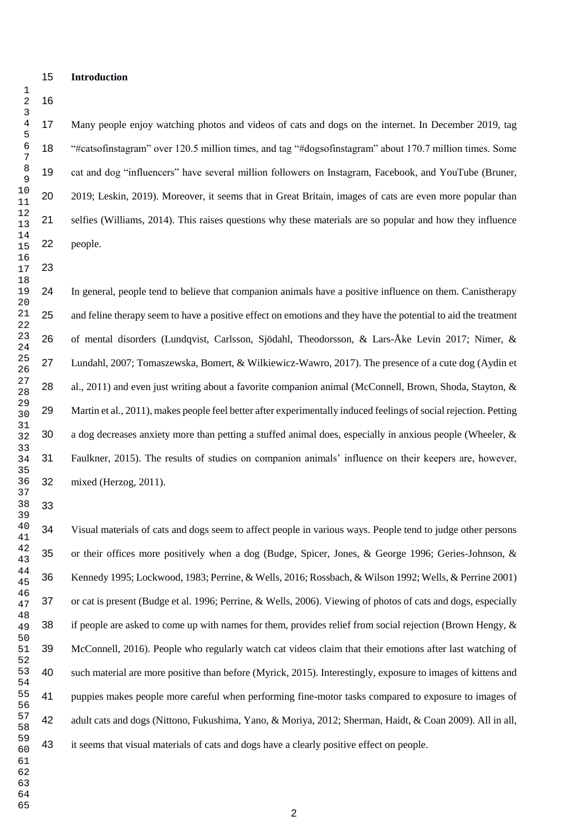Many people enjoy watching photos and videos of cats and dogs on the internet. In December 2019, tag "#catsofinstagram" over 120.5 million times, and tag "#dogsofinstagram" about 170.7 million times. Some cat and dog "influencers" have several million followers on Instagram, Facebook, and YouTube (Bruner, 2019; Leskin, 2019). Moreover, it seems that in Great Britain, images of cats are even more popular than selfies (Williams, 2014). This raises questions why these materials are so popular and how they influence people.

 In general, people tend to believe that companion animals have a positive influence on them. Canistherapy and feline therapy seem to have a positive effect on emotions and they have the potential to aid the treatment of mental disorders (Lundqvist, Carlsson, Sjödahl, Theodorsson, & Lars-Åke Levin 2017; Nimer, & Lundahl, 2007; Tomaszewska, Bomert, & Wilkiewicz-Wawro, 2017). The presence of a cute dog (Aydin et 28 al., 2011) and even just writing about a favorite companion animal (McConnell, Brown, Shoda, Stayton, & Martin et al., 2011), makes people feel better after experimentally induced feelings of social rejection. Petting a dog decreases anxiety more than petting a stuffed animal does, especially in anxious people (Wheeler, & Faulkner, 2015). The results of studies on companion animals' influence on their keepers are, however, mixed (Herzog, 2011).

 Visual materials of cats and dogs seem to affect people in various ways. People tend to judge other persons or their offices more positively when a dog (Budge, Spicer, Jones, & George 1996; Geries-Johnson, & Kennedy 1995; Lockwood, 1983; Perrine, & Wells, 2016; Rossbach, & Wilson 1992; Wells, & Perrine 2001) or cat is present (Budge et al. 1996; Perrine, & Wells, 2006). Viewing of photos of cats and dogs, especially if people are asked to come up with names for them, provides relief from social rejection (Brown Hengy, & McConnell, 2016). People who regularly watch cat videos claim that their emotions after last watching of such material are more positive than before (Myrick, 2015). Interestingly, exposure to images of kittens and puppies makes people more careful when performing fine-motor tasks compared to exposure to images of adult cats and dogs (Nittono, Fukushima, Yano, & Moriya, 2012; Sherman, Haidt, & Coan 2009). All in all, it seems that visual materials of cats and dogs have a clearly positive effect on people.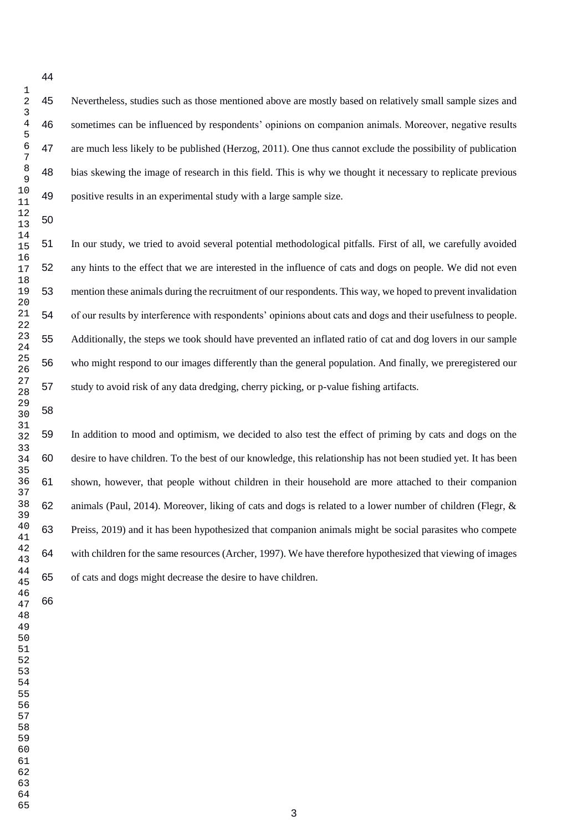Nevertheless, studies such as those mentioned above are mostly based on relatively small sample sizes and sometimes can be influenced by respondents' opinions on companion animals. Moreover, negative results are much less likely to be published (Herzog, 2011). One thus cannot exclude the possibility of publication bias skewing the image of research in this field. This is why we thought it necessary to replicate previous positive results in an experimental study with a large sample size.

 In our study, we tried to avoid several potential methodological pitfalls. First of all, we carefully avoided any hints to the effect that we are interested in the influence of cats and dogs on people. We did not even mention these animals during the recruitment of our respondents. This way, we hoped to prevent invalidation of our results by interference with respondents' opinions about cats and dogs and their usefulness to people. Additionally, the steps we took should have prevented an inflated ratio of cat and dog lovers in our sample who might respond to our images differently than the general population. And finally, we preregistered our study to avoid risk of any data dredging, cherry picking, or p-value fishing artifacts.

 In addition to mood and optimism, we decided to also test the effect of priming by cats and dogs on the desire to have children. To the best of our knowledge, this relationship has not been studied yet. It has been shown, however, that people without children in their household are more attached to their companion animals (Paul, 2014). Moreover, liking of cats and dogs is related to a lower number of children (Flegr, & Preiss, 2019) and it has been hypothesized that companion animals might be social parasites who compete with children for the same resources (Archer, 1997). We have therefore hypothesized that viewing of images of cats and dogs might decrease the desire to have children.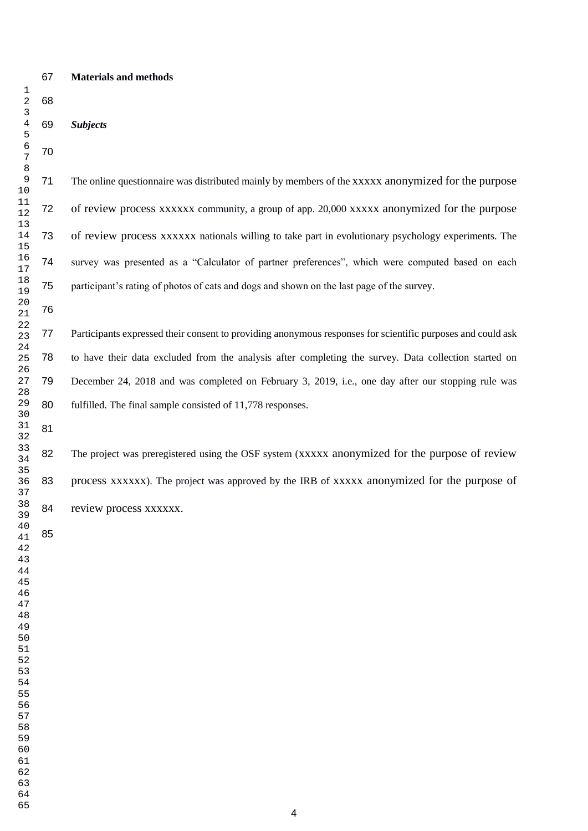#### **Materials and methods**

 *Subjects* The online questionnaire was distributed mainly by members of the xxxxx anonymized for the purpose of review process xxxxxx community, a group of app. 20,000 xxxxx anonymized for the purpose of review process xxxxxx nationals willing to take part in evolutionary psychology experiments. The survey was presented as a "Calculator of partner preferences", which were computed based on each participant's rating of photos of cats and dogs and shown on the last page of the survey. Participants expressed their consent to providing anonymous responses for scientific purposes and could ask to have their data excluded from the analysis after completing the survey. Data collection started on December 24, 2018 and was completed on February 3, 2019, i.e., one day after our stopping rule was fulfilled. The final sample consisted of 11,778 responses. 

82 The project was preregistered using the OSF system (xxxxx anonymized for the purpose of review 83 process xxxxxx). The project was approved by the IRB of xxxxx anonymized for the purpose of 84 review process xxxxxx.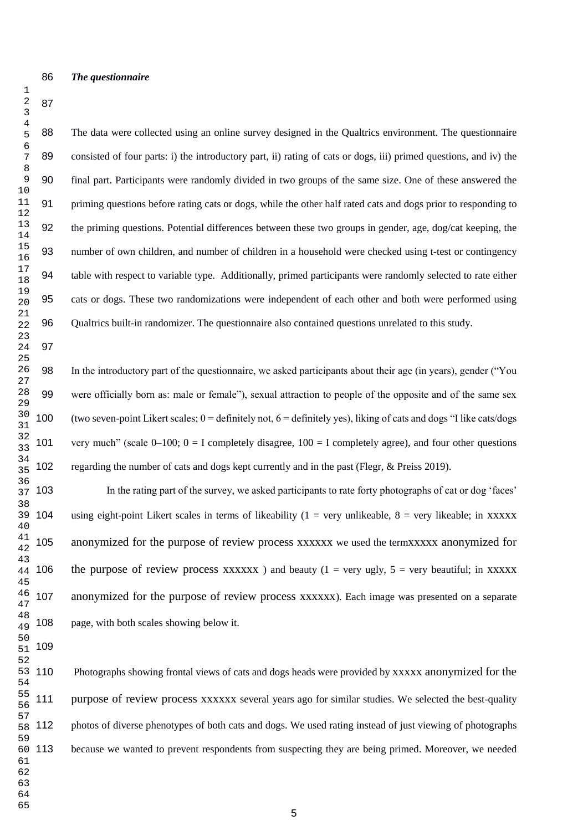#### *The questionnaire*

 The data were collected using an online survey designed in the Qualtrics environment. The questionnaire 89 consisted of four parts: i) the introductory part, ii) rating of cats or dogs, iii) primed questions, and iv) the final part. Participants were randomly divided in two groups of the same size. One of these answered the priming questions before rating cats or dogs, while the other half rated cats and dogs prior to responding to the priming questions. Potential differences between these two groups in gender, age, dog/cat keeping, the number of own children, and number of children in a household were checked using t-test or contingency table with respect to variable type. Additionally, primed participants were randomly selected to rate either cats or dogs. These two randomizations were independent of each other and both were performed using Qualtrics built-in randomizer. The questionnaire also contained questions unrelated to this study.

 In the introductory part of the questionnaire, we asked participants about their age (in years), gender ("You were officially born as: male or female"), sexual attraction to people of the opposite and of the same sex 100 (two seven-point Likert scales;  $0 =$  definitely not,  $6 =$  definitely yes), liking of cats and dogs "I like cats/dogs" 101 very much" (scale  $0-100$ ;  $0 = I$  completely disagree,  $100 = I$  completely agree), and four other questions regarding the number of cats and dogs kept currently and in the past (Flegr, & Preiss 2019).

 In the rating part of the survey, we asked participants to rate forty photographs of cat or dog 'faces' 104 using eight-point Likert scales in terms of likeability  $(1 = \text{very unlikeable}, 8 = \text{very likeable}; \text{in XXXX})$  anonymized for the purpose of review process xxxxxx we used the termxxxxx anonymized for the purpose of review process xxxxxx ) and beauty (1 = very ugly, = very beautiful; in xxxxx anonymized for the purpose of review process xxxxxx). Each image was presented on a separate page, with both scales showing below it.

 Photographs showing frontal views of cats and dogs heads were provided by xxxxx anonymized for the purpose of review process xxxxxx several years ago for similar studies. We selected the best-quality photos of diverse phenotypes of both cats and dogs. We used rating instead of just viewing of photographs because we wanted to prevent respondents from suspecting they are being primed. Moreover, we needed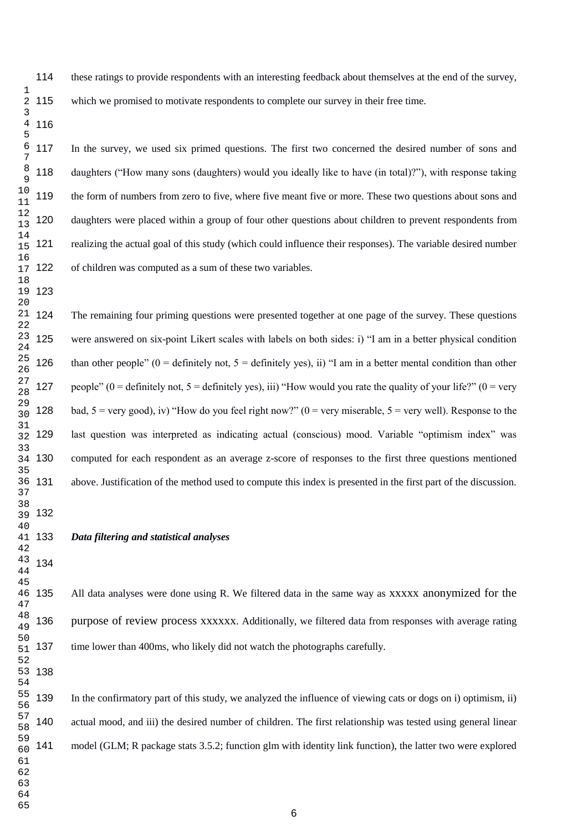these ratings to provide respondents with an interesting feedback about themselves at the end of the survey,

which we promised to motivate respondents to complete our survey in their free time. 2 115

 In the survey, we used six primed questions. The first two concerned the desired number of sons and daughters ("How many sons (daughters) would you ideally like to have (in total)?"), with response taking the form of numbers from zero to five, where five meant five or more. These two questions about sons and daughters were placed within a group of four other questions about children to prevent respondents from realizing the actual goal of this study (which could influence their responses). The variable desired number 122 of children was computed as a sum of these two variables.

 The remaining four priming questions were presented together at one page of the survey. These questions were answered on six-point Likert scales with labels on both sides: i) "I am in a better physical condition 126 than other people" (0 = definitely not,  $5 =$  definitely yes), ii) "I am in a better mental condition than other 127 people" (0 = definitely not, 5 = definitely yes), iii) "How would you rate the quality of your life?" (0 = very 128 bad, 5 = very good), iv) "How do you feel right now?" (0 = very miserable, 5 = very well). Response to the last question was interpreted as indicating actual (conscious) mood. Variable "optimism index" was computed for each respondent as an average z-score of responses to the first three questions mentioned above. Justification of the method used to compute this index is presented in the first part of the discussion.

*Data filtering and statistical analyses*

All data analyses were done using R. We filtered data in the same way as xxxxx anonymized for the purpose of review process xxxxxx. Additionally, we filtered data from responses with average rating time lower than 400ms, who likely did not watch the photographs carefully.

 In the confirmatory part of this study, we analyzed the influence of viewing cats or dogs on i) optimism, ii) actual mood, and iii) the desired number of children. The first relationship was tested using general linear model (GLM; R package stats 3.5.2; function glm with identity link function), the latter two were explored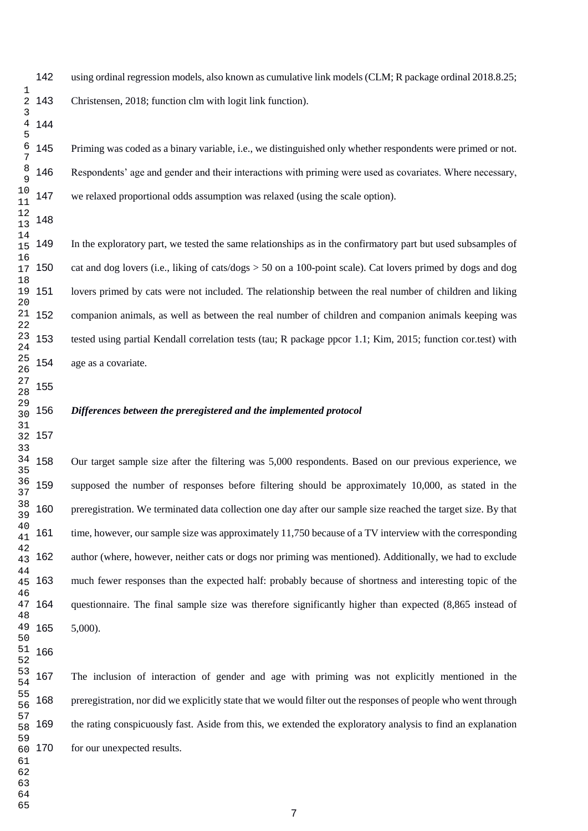using ordinal regression models, also known as cumulative link models (CLM; R package ordinal 2018.8.25; Christensen, 2018; function clm with logit link function).

 Priming was coded as a binary variable, i.e., we distinguished only whether respondents were primed or not. Respondents' age and gender and their interactions with priming were used as covariates. Where necessary, we relaxed proportional odds assumption was relaxed (using the scale option).

 In the exploratory part, we tested the same relationships as in the confirmatory part but used subsamples of cat and dog lovers (i.e., liking of cats/dogs > 50 on a 100-point scale). Cat lovers primed by dogs and dog lovers primed by cats were not included. The relationship between the real number of children and liking companion animals, as well as between the real number of children and companion animals keeping was tested using partial Kendall correlation tests (tau; R package ppcor 1.1; Kim, 2015; function cor.test) with age as a covariate.

#### *Differences between the preregistered and the implemented protocol*

 Our target sample size after the filtering was 5,000 respondents. Based on our previous experience, we supposed the number of responses before filtering should be approximately 10,000, as stated in the preregistration. We terminated data collection one day after our sample size reached the target size. By that time, however, our sample size was approximately 11,750 because of a TV interview with the corresponding author (where, however, neither cats or dogs nor priming was mentioned). Additionally, we had to exclude much fewer responses than the expected half: probably because of shortness and interesting topic of the questionnaire. The final sample size was therefore significantly higher than expected (8,865 instead of 5,000).

 The inclusion of interaction of gender and age with priming was not explicitly mentioned in the preregistration, nor did we explicitly state that we would filter out the responses of people who went through the rating conspicuously fast. Aside from this, we extended the exploratory analysis to find an explanation for our unexpected results.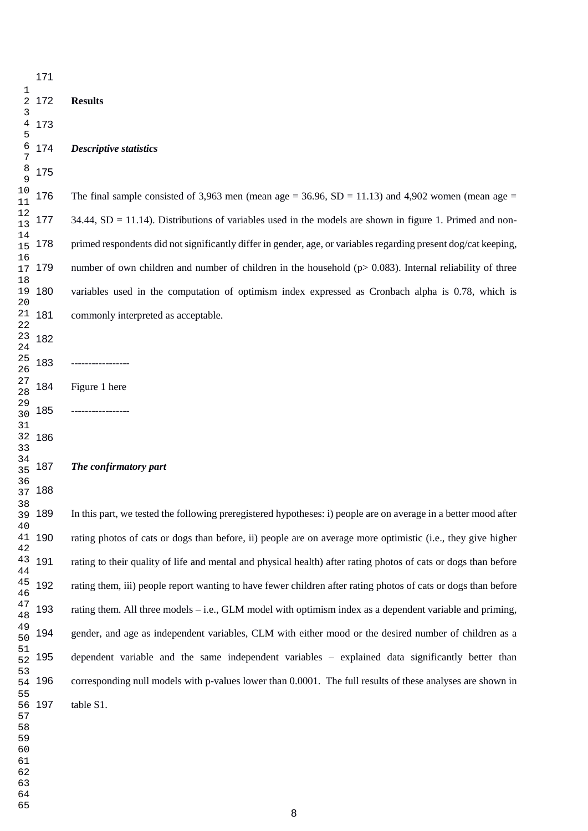|                | 1/1    |                                                                                                                 |
|----------------|--------|-----------------------------------------------------------------------------------------------------------------|
| 1<br>2<br>3    | 172    | <b>Results</b>                                                                                                  |
| 4<br>5         | 173    |                                                                                                                 |
| 6<br>7         | 174    | <b>Descriptive statistics</b>                                                                                   |
| 8<br>9         | 175    |                                                                                                                 |
| 10<br>11       | 176    | The final sample consisted of 3,963 men (mean age = 36.96, SD = 11.13) and 4,902 women (mean age =              |
| 12<br>13       | 177    | $34.44$ , SD = 11.14). Distributions of variables used in the models are shown in figure 1. Primed and non-     |
| 14<br>15       | 178    | primed respondents did not significantly differ in gender, age, or variables regarding present dog/cat keeping, |
| 16<br>17<br>18 | 179    | number of own children and number of children in the household ( $p > 0.083$ ). Internal reliability of three   |
| 19<br>20       | 180    | variables used in the computation of optimism index expressed as Cronbach alpha is 0.78, which is               |
| 21<br>22       | 181    | commonly interpreted as acceptable.                                                                             |
| 23<br>24       | 182    |                                                                                                                 |
| 25<br>26       | 183    | . _ _ _ _ _ _ _ _ _ _ _                                                                                         |
| 27<br>28       | 184    | Figure 1 here                                                                                                   |
| 29<br>30       | 185    |                                                                                                                 |
| 31<br>32       | 186    |                                                                                                                 |
| 33<br>34<br>35 | 187    | The confirmatory part                                                                                           |
| 36<br>37       | 188    |                                                                                                                 |
| 38             | 39 189 | In this part, we tested the following preregistered hypotheses: i) people are on average in a better mood after |
| 40<br>41       | 190    | rating photos of cats or dogs than before, ii) people are on average more optimistic (i.e., they give higher    |
| 42<br>43       | 191    | rating to their quality of life and mental and physical health) after rating photos of cats or dogs than before |
| 44<br>45       | 192    | rating them, iii) people report wanting to have fewer children after rating photos of cats or dogs than before  |
| 46<br>47       | 193    |                                                                                                                 |
| 48<br>49       |        | rating them. All three models – i.e., GLM model with optimism index as a dependent variable and priming,        |
| 50<br>51       | 194    | gender, and age as independent variables, CLM with either mood or the desired number of children as a           |
| 52<br>53       | 195    | dependent variable and the same independent variables – explained data significantly better than                |
| 54<br>55       | 196    | corresponding null models with p-values lower than 0.0001. The full results of these analyses are shown in      |
| 56<br>57<br>58 | 197    | table S1.                                                                                                       |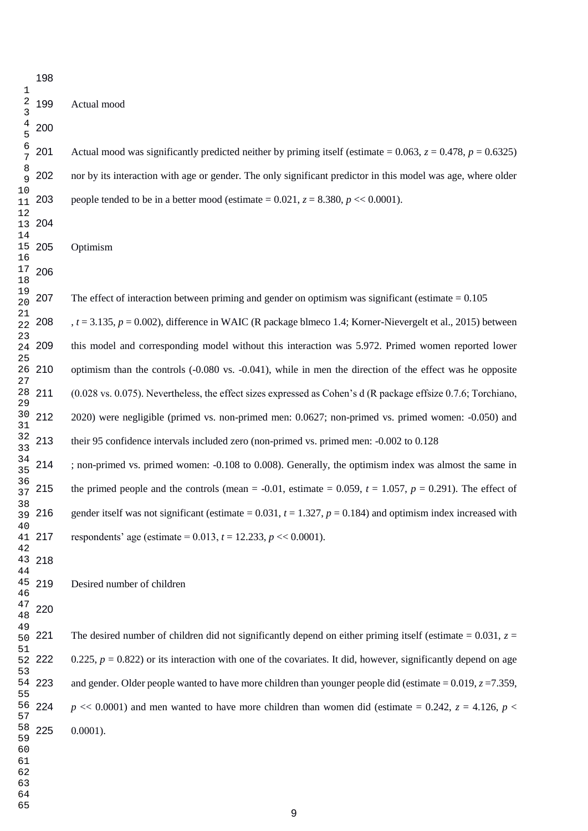201 Actual mood was significantly predicted neither by priming itself (estimate =  $0.063$ ,  $z = 0.478$ ,  $p = 0.6325$ ) nor by its interaction with age or gender. The only significant predictor in this model was age, where older 203 people tended to be in a better mood (estimate =  $0.021$ ,  $z = 8.380$ ,  $p \ll 0.0001$ ).

Optimism

207 The effect of interaction between priming and gender on optimism was significant (estimate  $= 0.105$ )

 , *t* = 3.135, *p* = 0.002), difference in WAIC (R package blmeco 1.4; Korner-Nievergelt et al., 2015) between this model and corresponding model without this interaction was 5.972. Primed women reported lower optimism than the controls (-0.080 vs. -0.041), while in men the direction of the effect was he opposite  $(0.028 \text{ vs. } 0.075)$ . Nevertheless, the effect sizes expressed as Cohen's d (R package effsize 0.7.6; Torchiano, 2020) were negligible (primed vs. non-primed men: 0.0627; non-primed vs. primed women: -0.050) and their 95 confidence intervals included zero (non-primed vs. primed men: -0.002 to 0.128

 ; non-primed vs. primed women: -0.108 to 0.008). Generally, the optimism index was almost the same in 215 the primed people and the controls (mean =  $-0.01$ , estimate = 0.059,  $t = 1.057$ ,  $p = 0.291$ ). The effect of 216 gender itself was not significant (estimate  $= 0.031$ ,  $t = 1.327$ ,  $p = 0.184$ ) and optimism index increased with 217 respondents' age (estimate =  $0.013$ ,  $t = 12.233$ ,  $p \ll 0.0001$ ).

Desired number of children

221 The desired number of children did not significantly depend on either priming itself (estimate  $= 0.031$ ,  $z =$  $0.225$ ,  $p = 0.822$ ) or its interaction with one of the covariates. It did, however, significantly depend on age and gender. Older people wanted to have more children than younger people did (estimate  $= 0.019$ ,  $z = 7.359$ , 224 *p* << 0.0001) and men wanted to have more children than women did (estimate = 0.242,  $z = 4.126$ ,  $p <$ 0.0001).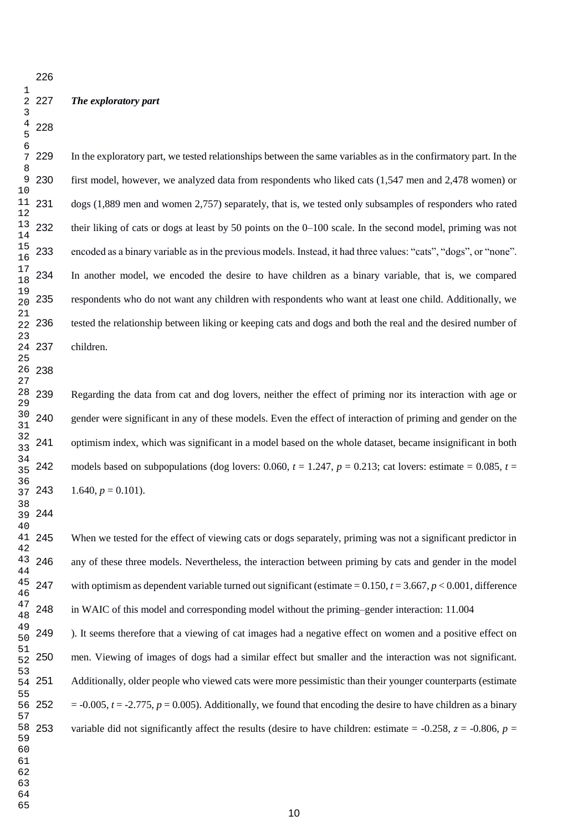#### *The exploratory part*

 In the exploratory part, we tested relationships between the same variables as in the confirmatory part. In the first model, however, we analyzed data from respondents who liked cats (1,547 men and 2,478 women) or dogs (1,889 men and women 2,757) separately, that is, we tested only subsamples of responders who rated their liking of cats or dogs at least by 50 points on the 0–100 scale. In the second model, priming was not encoded as a binary variable as in the previous models. Instead, it had three values: "cats", "dogs", or "none". In another model, we encoded the desire to have children as a binary variable, that is, we compared respondents who do not want any children with respondents who want at least one child. Additionally, we tested the relationship between liking or keeping cats and dogs and both the real and the desired number of children.

 Regarding the data from cat and dog lovers, neither the effect of priming nor its interaction with age or 240 gender were significant in any of these models. Even the effect of interaction of priming and gender on the optimism index, which was significant in a model based on the whole dataset, became insignificant in both 242 models based on subpopulations (dog lovers: 0.060,  $t = 1.247$ ,  $p = 0.213$ ; cat lovers: estimate = 0.085,  $t =$ 243  $1.640, p = 0.101$ .

 When we tested for the effect of viewing cats or dogs separately, priming was not a significant predictor in any of these three models. Nevertheless, the interaction between priming by cats and gender in the model with optimism as dependent variable turned out significant (estimate = 0.150, *t* = 3.667, *p* < 0.001, difference in WAIC of this model and corresponding model without the priming–gender interaction: 11.004

 ). It seems therefore that a viewing of cat images had a negative effect on women and a positive effect on men. Viewing of images of dogs had a similar effect but smaller and the interaction was not significant. Additionally, older people who viewed cats were more pessimistic than their younger counterparts (estimate  $=$  -0.005,  $t = -2.775$ ,  $p = 0.005$ ). Additionally, we found that encoding the desire to have children as a binary variable did not significantly affect the results (desire to have children: estimate  $= -0.258$ ,  $z = -0.806$ ,  $p =$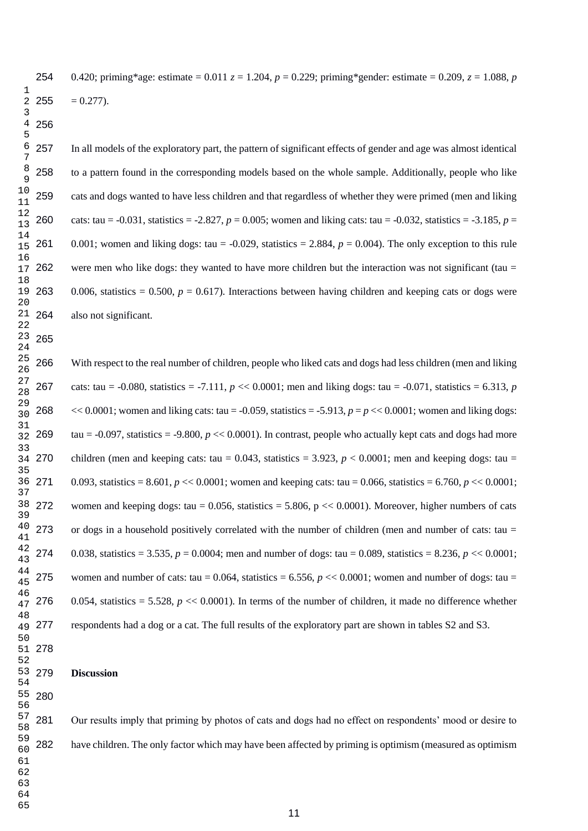0.420; priming\*age: estimate = 0.011 *z* = 1.204, *p* = 0.229; priming\*gender: estimate = 0.209, *z* = 1.088, *p*  $= 0.277$ ).

 In all models of the exploratory part, the pattern of significant effects of gender and age was almost identical to a pattern found in the corresponding models based on the whole sample. Additionally, people who like cats and dogs wanted to have less children and that regardless of whether they were primed (men and liking cats: tau = -0.031, statistics = -2.827, *p* = 0.005; women and liking cats: tau = -0.032, statistics = -3.185, *p* = 261 0.001; women and liking dogs: tau =  $-0.029$ , statistics = 2.884,  $p = 0.004$ ). The only exception to this rule were men who like dogs: they wanted to have more children but the interaction was not significant (tau = 263 0.006, statistics =  $0.500$ ,  $p = 0.617$ ). Interactions between having children and keeping cats or dogs were also not significant.

 With respect to the real number of children, people who liked cats and dogs had less children (men and liking 267 cats: tau =  $-0.080$ , statistics =  $-7.111$ ,  $p \ll 0.0001$ ; men and liking dogs: tau =  $-0.071$ , statistics = 6.313, *p* 268  $\langle 200001 \rangle$ ; women and liking cats: tau = -0.059, statistics = -5.913,  $p = p \langle 0.0001 \rangle$ ; women and liking dogs: 269 tau  $=$  -0.097, statistics  $=$  -9.800,  $p \ll 0.0001$ ). In contrast, people who actually kept cats and dogs had more children (men and keeping cats: tau =  $0.043$ , statistics = 3.923,  $p < 0.0001$ ; men and keeping dogs: tau = 0.093, statistics =  $8.601$ , *p* << 0.0001; women and keeping cats: tau = 0.066, statistics =  $6.760$ , *p* << 0.0001; 272 women and keeping dogs: tau =  $0.056$ , statistics =  $5.806$ , p <<  $0.0001$ ). Moreover, higher numbers of cats 273 or dogs in a household positively correlated with the number of children (men and number of cats: tau = 0.038, statistics = 3.535, *p* = 0.0004; men and number of dogs: tau = 0.089, statistics = 8.236, *p* << 0.0001; 275 women and number of cats: tau =  $0.064$ , statistics =  $6.556$ ,  $p \ll 0.0001$ ; women and number of dogs: tau = 276 0.054, statistics  $= 5.528$ ,  $p \ll 0.0001$ ). In terms of the number of children, it made no difference whether respondents had a dog or a cat. The full results of the exploratory part are shown in tables S2 and S3.

**Discussion** 

 Our results imply that priming by photos of cats and dogs had no effect on respondents' mood or desire to have children. The only factor which may have been affected by priming is optimism (measured as optimism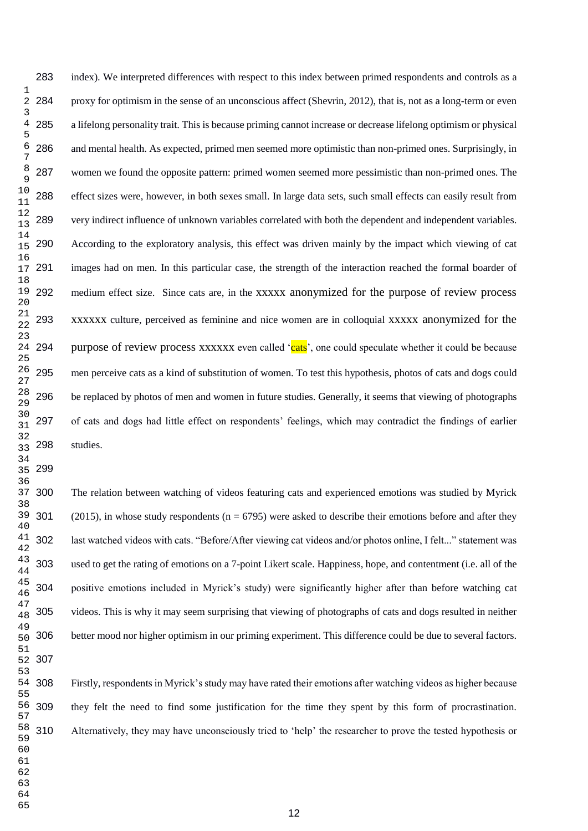index). We interpreted differences with respect to this index between primed respondents and controls as a proxy for optimism in the sense of an unconscious affect (Shevrin, 2012), that is, not as a long-term or even a lifelong personality trait. This is because priming cannot increase or decrease lifelong optimism or physical and mental health. As expected, primed men seemed more optimistic than non-primed ones. Surprisingly, in women we found the opposite pattern: primed women seemed more pessimistic than non-primed ones. The effect sizes were, however, in both sexes small. In large data sets, such small effects can easily result from very indirect influence of unknown variables correlated with both the dependent and independent variables. According to the exploratory analysis, this effect was driven mainly by the impact which viewing of cat images had on men. In this particular case, the strength of the interaction reached the formal boarder of medium effect size. Since cats are, in the xxxxx anonymized for the purpose of review process xxxxxx culture, perceived as feminine and nice women are in colloquial xxxxx anonymized for the purpose of review process xxxxxx even called 'cats', one could speculate whether it could be because men perceive cats as a kind of substitution of women. To test this hypothesis, photos of cats and dogs could be replaced by photos of men and women in future studies. Generally, it seems that viewing of photographs of cats and dogs had little effect on respondents' feelings, which may contradict the findings of earlier studies.

 The relation between watching of videos featuring cats and experienced emotions was studied by Myrick 301 (2015), in whose study respondents ( $n = 6795$ ) were asked to describe their emotions before and after they last watched videos with cats. "Before/After viewing cat videos and/or photos online, I felt..." statement was used to get the rating of emotions on a 7-point Likert scale. Happiness, hope, and contentment (i.e. all of the positive emotions included in Myrick's study) were significantly higher after than before watching cat videos. This is why it may seem surprising that viewing of photographs of cats and dogs resulted in neither better mood nor higher optimism in our priming experiment. This difference could be due to several factors.

Firstly, respondents in Myrick's study may have rated their emotions after watching videos as higher because they felt the need to find some justification for the time they spent by this form of procrastination. Alternatively, they may have unconsciously tried to 'help' the researcher to prove the tested hypothesis or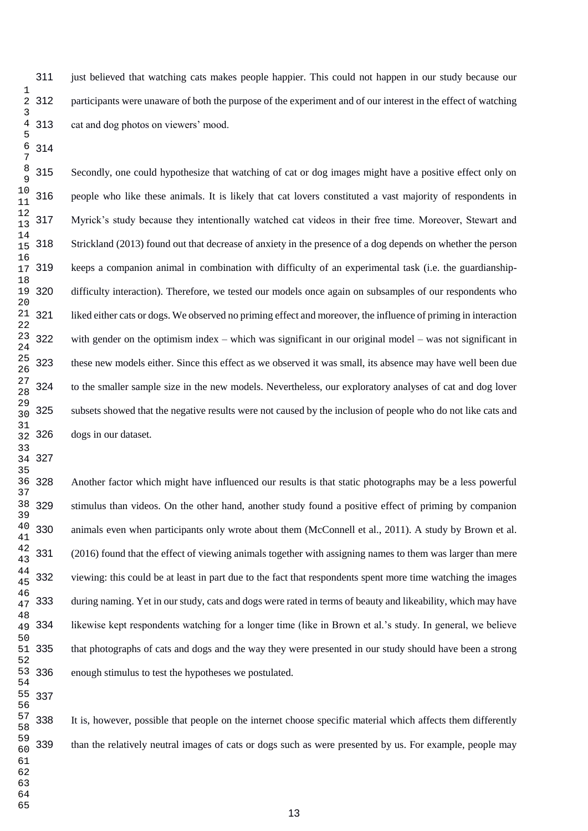just believed that watching cats makes people happier. This could not happen in our study because our participants were unaware of both the purpose of the experiment and of our interest in the effect of watching cat and dog photos on viewers' mood.

 Secondly, one could hypothesize that watching of cat or dog images might have a positive effect only on people who like these animals. It is likely that cat lovers constituted a vast majority of respondents in Myrick's study because they intentionally watched cat videos in their free time. Moreover, Stewart and Strickland (2013) found out that decrease of anxiety in the presence of a dog depends on whether the person keeps a companion animal in combination with difficulty of an experimental task (i.e. the guardianship- difficulty interaction). Therefore, we tested our models once again on subsamples of our respondents who liked either cats or dogs. We observed no priming effect and moreover, the influence of priming in interaction with gender on the optimism index – which was significant in our original model – was not significant in these new models either. Since this effect as we observed it was small, its absence may have well been due to the smaller sample size in the new models. Nevertheless, our exploratory analyses of cat and dog lover subsets showed that the negative results were not caused by the inclusion of people who do not like cats and dogs in our dataset.

 Another factor which might have influenced our results is that static photographs may be a less powerful stimulus than videos. On the other hand, another study found a positive effect of priming by companion animals even when participants only wrote about them (McConnell et al., 2011). A study by Brown et al. (2016) found that the effect of viewing animals together with assigning names to them was larger than mere viewing: this could be at least in part due to the fact that respondents spent more time watching the images during naming. Yet in our study, cats and dogs were rated in terms of beauty and likeability, which may have likewise kept respondents watching for a longer time (like in Brown et al.'s study. In general, we believe that photographs of cats and dogs and the way they were presented in our study should have been a strong enough stimulus to test the hypotheses we postulated.

 It is, however, possible that people on the internet choose specific material which affects them differently than the relatively neutral images of cats or dogs such as were presented by us. For example, people may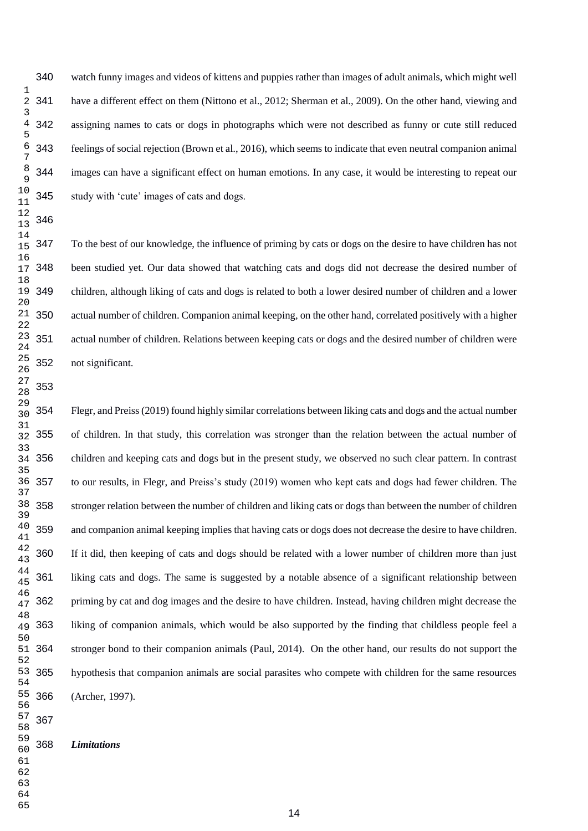watch funny images and videos of kittens and puppies rather than images of adult animals, which might well have a different effect on them (Nittono et al., 2012; Sherman et al., 2009). On the other hand, viewing and assigning names to cats or dogs in photographs which were not described as funny or cute still reduced feelings of social rejection (Brown et al., 2016), which seems to indicate that even neutral companion animal images can have a significant effect on human emotions. In any case, it would be interesting to repeat our study with 'cute' images of cats and dogs.

 To the best of our knowledge, the influence of priming by cats or dogs on the desire to have children has not been studied yet. Our data showed that watching cats and dogs did not decrease the desired number of children, although liking of cats and dogs is related to both a lower desired number of children and a lower actual number of children. Companion animal keeping, on the other hand, correlated positively with a higher actual number of children. Relations between keeping cats or dogs and the desired number of children were not significant.

 Flegr, and Preiss (2019) found highly similar correlations between liking cats and dogs and the actual number of children. In that study, this correlation was stronger than the relation between the actual number of children and keeping cats and dogs but in the present study, we observed no such clear pattern. In contrast to our results, in Flegr, and Preiss's study (2019) women who kept cats and dogs had fewer children. The stronger relation between the number of children and liking cats or dogs than between the number of children and companion animal keeping implies that having cats or dogs does not decrease the desire to have children. If it did, then keeping of cats and dogs should be related with a lower number of children more than just liking cats and dogs. The same is suggested by a notable absence of a significant relationship between priming by cat and dog images and the desire to have children. Instead, having children might decrease the liking of companion animals, which would be also supported by the finding that childless people feel a stronger bond to their companion animals (Paul, 2014). On the other hand, our results do not support the hypothesis that companion animals are social parasites who compete with children for the same resources (Archer, 1997).

#### *Limitations*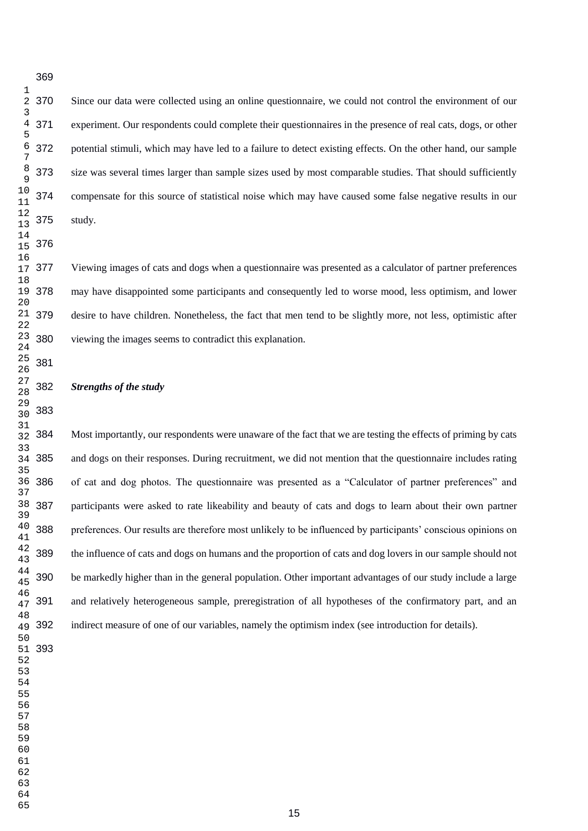Since our data were collected using an online questionnaire, we could not control the environment of our experiment. Our respondents could complete their questionnaires in the presence of real cats, dogs, or other potential stimuli, which may have led to a failure to detect existing effects. On the other hand, our sample size was several times larger than sample sizes used by most comparable studies. That should sufficiently compensate for this source of statistical noise which may have caused some false negative results in our study.

 Viewing images of cats and dogs when a questionnaire was presented as a calculator of partner preferences may have disappointed some participants and consequently led to worse mood, less optimism, and lower desire to have children. Nonetheless, the fact that men tend to be slightly more, not less, optimistic after viewing the images seems to contradict this explanation.

#### *Strengths of the study*

 Most importantly, our respondents were unaware of the fact that we are testing the effects of priming by cats and dogs on their responses. During recruitment, we did not mention that the questionnaire includes rating of cat and dog photos. The questionnaire was presented as a "Calculator of partner preferences" and participants were asked to rate likeability and beauty of cats and dogs to learn about their own partner preferences. Our results are therefore most unlikely to be influenced by participants' conscious opinions on the influence of cats and dogs on humans and the proportion of cats and dog lovers in our sample should not be markedly higher than in the general population. Other important advantages of our study include a large and relatively heterogeneous sample, preregistration of all hypotheses of the confirmatory part, and an indirect measure of one of our variables, namely the optimism index (see introduction for details).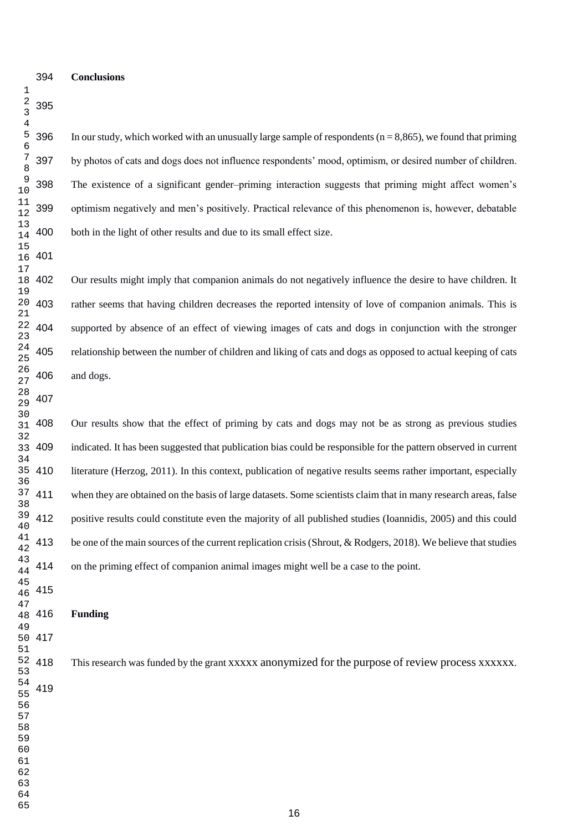#### **Conclusions**

396 In our study, which worked with an unusually large sample of respondents ( $n = 8,865$ ), we found that priming by photos of cats and dogs does not influence respondents' mood, optimism, or desired number of children. The existence of a significant gender–priming interaction suggests that priming might affect women's optimism negatively and men's positively. Practical relevance of this phenomenon is, however, debatable both in the light of other results and due to its small effect size.

 Our results might imply that companion animals do not negatively influence the desire to have children. It rather seems that having children decreases the reported intensity of love of companion animals. This is supported by absence of an effect of viewing images of cats and dogs in conjunction with the stronger relationship between the number of children and liking of cats and dogs as opposed to actual keeping of cats and dogs.

 Our results show that the effect of priming by cats and dogs may not be as strong as previous studies indicated. It has been suggested that publication bias could be responsible for the pattern observed in current literature (Herzog, 2011). In this context, publication of negative results seems rather important, especially when they are obtained on the basis of large datasets. Some scientists claim that in many research areas, false positive results could constitute even the majority of all published studies (Ioannidis, 2005) and this could be one of the main sources of the current replication crisis (Shrout, & Rodgers, 2018). We believe that studies on the priming effect of companion animal images might well be a case to the point.

- **Funding** 48 416
	- This research was funded by the grant xxxxx anonymized for the purpose of review process xxxxxx.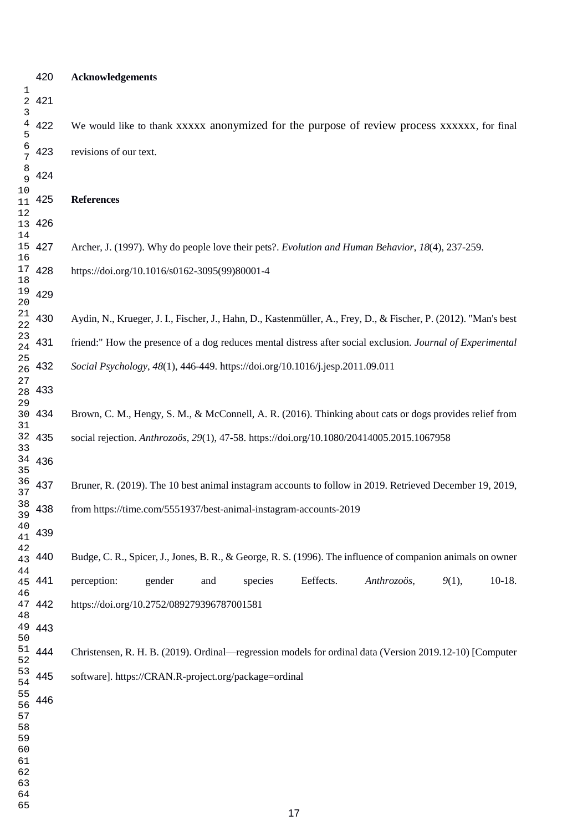# **Acknowledgements** We would like to thank xxxxx anonymized for the purpose of review process xxxxxx, for final revisions of our text. **References** Archer, J. (1997). Why do people love their pets?. *Evolution and Human Behavior*, *18*(4), 237-259. https://doi.org/10.1016/s0162-3095(99)80001-4 Aydin, N., Krueger, J. I., Fischer, J., Hahn, D., Kastenmüller, A., Frey, D., & Fischer, P. (2012). "Man's best friend:" How the presence of a dog reduces mental distress after social exclusion. *Journal of Experimental Social Psychology*, *48*(1), 446-449. https://doi.org/10.1016/j.jesp.2011.09.011 Brown, C. M., Hengy, S. M., & McConnell, A. R. (2016). Thinking about cats or dogs provides relief from social rejection. *Anthrozoös*, *29*(1), 47-58. https://doi.org/10.1080/20414005.2015.1067958 Bruner, R. (2019). The 10 best animal instagram accounts to follow in 2019. Retrieved December 19, 2019, from https://time.com/5551937/best-animal-instagram-accounts-2019 Budge, C. R., Spicer, J., Jones, B. R., & George, R. S. (1996). The influence of companion animals on owner perception: gender and species Eeffects. *Anthrozoös*, *9*(1), 10-18. https://doi.org/10.2752/089279396787001581 Christensen, R. H. B. (2019). Ordinal—regression models for ordinal data (Version 2019.12-10) [Computer software]. https://CRAN.R-project.org/package=ordinal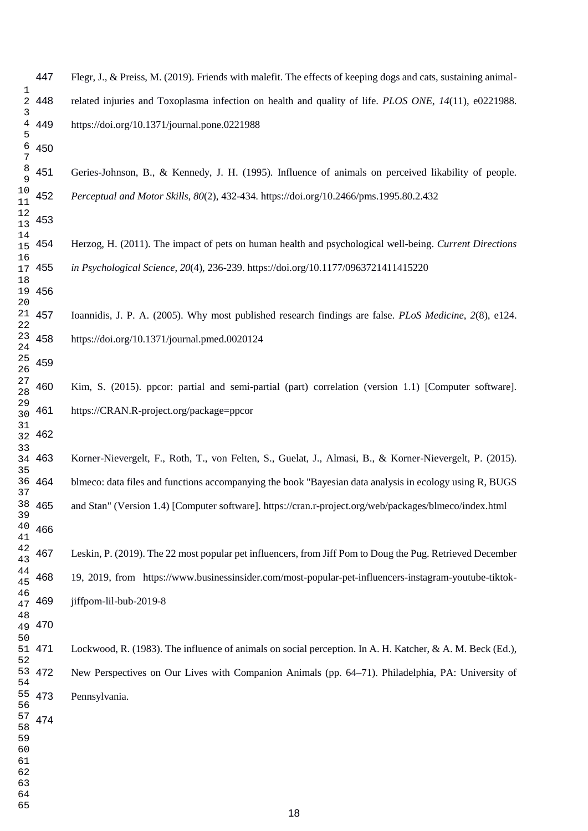Flegr, J., & Preiss, M. (2019). Friends with malefit. The effects of keeping dogs and cats, sustaining animalrelated injuries and Toxoplasma infection on health and quality of life. *PLOS ONE*, 14(11), e0221988. https://doi.org/10.1371/journal.pone.0221988

 Geries-Johnson, B., & Kennedy, J. H. (1995). Influence of animals on perceived likability of people. *Perceptual and Motor Skills*, *80*(2), 432-434. https://doi.org/10.2466/pms.1995.80.2.432

 Herzog, H. (2011). The impact of pets on human health and psychological well-being. *Current Directions in Psychological Science*, *20*(4), 236-239. https://doi.org/10.1177/0963721411415220

 Ioannidis, J. P. A. (2005). Why most published research findings are false. *PLoS Medicine*, *2*(8), e124. https://doi.org/10.1371/journal.pmed.0020124

 Kim, S. (2015). ppcor: partial and semi-partial (part) correlation (version 1.1) [Computer software]. https://CRAN.R-project.org/package=ppcor

 Korner-Nievergelt, F., Roth, T., von Felten, S., Guelat, J., Almasi, B., & Korner-Nievergelt, P. (2015). blmeco: data files and functions accompanying the book "Bayesian data analysis in ecology using R, BUGS and Stan" (Version 1.4) [Computer software]. https://cran.r-project.org/web/packages/blmeco/index.html 

 Leskin, P. (2019). The 22 most popular pet influencers, from Jiff Pom to Doug the Pug. Retrieved December 19, 2019, from https://www.businessinsider.com/most-popular-pet-influencers-instagram-youtube-tiktok-469 iiffpom-lil-bub-2019-8

Lockwood, R. (1983). The influence of animals on social perception. In A. H. Katcher, & A. M. Beck (Ed.), New Perspectives on Our Lives with Companion Animals (pp. 64–71). Philadelphia, PA: University of Pennsylvania. 53 472 55 473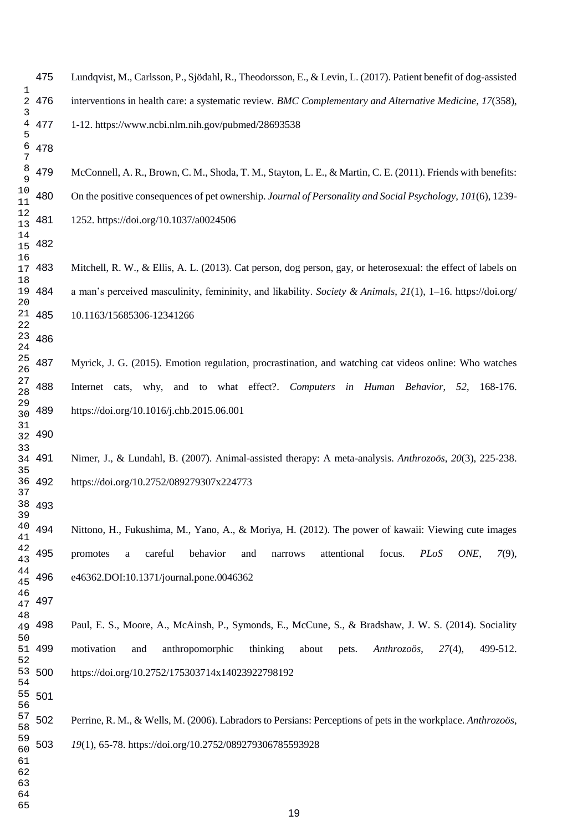## Lundqvist, M., Carlsson, P., Sjödahl, R., Theodorsson, E., & Levin, L. (2017). Patient benefit of dog-assisted interventions in health care: a systematic review. *BMC Complementary and Alternative Medicine*, *17*(358), 1-12. https://www.ncbi.nlm.nih.gov/pubmed/28693538

 McConnell, A. R., Brown, C. M., Shoda, T. M., Stayton, L. E., & Martin, C. E. (2011). Friends with benefits: On the positive consequences of pet ownership. *Journal of Personality and Social Psychology*, *101*(6), 1239- 1252. https://doi.org/10.1037/a0024506

 Mitchell, R. W., & Ellis, A. L. (2013). Cat person, dog person, gay, or heterosexual: the effect of labels on a man's perceived masculinity, femininity, and likability. *Society & Animals*, *21*(1), 1–16. https://doi.org/ 10.1163/15685306-12341266

 Myrick, J. G. (2015). Emotion regulation, procrastination, and watching cat videos online: Who watches Internet cats, why, and to what effect?. *Computers in Human Behavior*, *52*, 168-176. https://doi.org/10.1016/j.chb.2015.06.001

Nimer, J., & Lundahl, B. (2007). Animal-assisted therapy: A meta-analysis. *Anthrozoös*, 20(3), 225-238. https://doi.org/10.2752/089279307x224773

 Nittono, H., Fukushima, M., Yano, A., & Moriya, H. (2012). The power of kawaii: Viewing cute images promotes a careful behavior and narrows attentional focus. *PLoS ONE*, *7*(9), e46362.DOI:10.1371/journal.pone.0046362

 Paul, E. S., Moore, A., McAinsh, P., Symonds, E., McCune, S., & Bradshaw, J. W. S. (2014). Sociality motivation and anthropomorphic thinking about pets. *Anthrozoös*, *27*(4), 499-512. https://doi.org/10.2752/175303714x14023922798192

 Perrine, R. M., & Wells, M. (2006). Labradors to Persians: Perceptions of pets in the workplace. *Anthrozoös*, *19*(1), 65-78. https://doi.org/10.2752/089279306785593928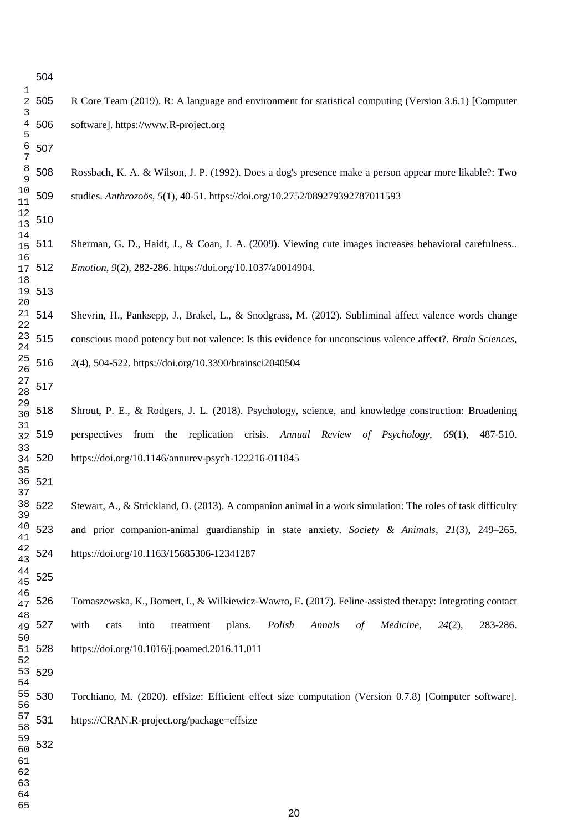Rossbach, K. A. & Wilson, J. P. (1992). Does a dog's presence make a person appear more likable?: Two studies. *Anthrozoös*, *5*(1), 40-51. https://doi.org/10.2752/089279392787011593

 Sherman, G. D., Haidt, J., & Coan, J. A. (2009). Viewing cute images increases behavioral carefulness.. *Emotion*, *9*(2), 282-286. https://doi.org/10.1037/a0014904.

 Shevrin, H., Panksepp, J., Brakel, L., & Snodgrass, M. (2012). Subliminal affect valence words change conscious mood potency but not valence: Is this evidence for unconscious valence affect?. *Brain Sciences*, *2*(4), 504-522. https://doi.org/10.3390/brainsci2040504 21 514

 Shrout, P. E., & Rodgers, J. L. (2018). Psychology, science, and knowledge construction: Broadening perspectives from the replication crisis. *Annual Review of Psychology*, *69*(1), 487-510. https://doi.org/10.1146/annurev-psych-122216-011845

 Stewart, A., & Strickland, O. (2013). A companion animal in a work simulation: The roles of task difficulty and prior companion-animal guardianship in state anxiety. *Society & Animals*, *21*(3), 249–265. https://doi.org/10.1163/15685306-12341287

 Tomaszewska, K., Bomert, I., & Wilkiewicz-Wawro, E. (2017). Feline-assisted therapy: Integrating contact with cats into treatment plans. *Polish Annals of Medicine*, *24*(2), 283-286. https://doi.org/10.1016/j.poamed.2016.11.011

 Torchiano, M. (2020). effsize: Efficient effect size computation (Version 0.7.8) [Computer software]. https://CRAN.R-project.org/package=effsize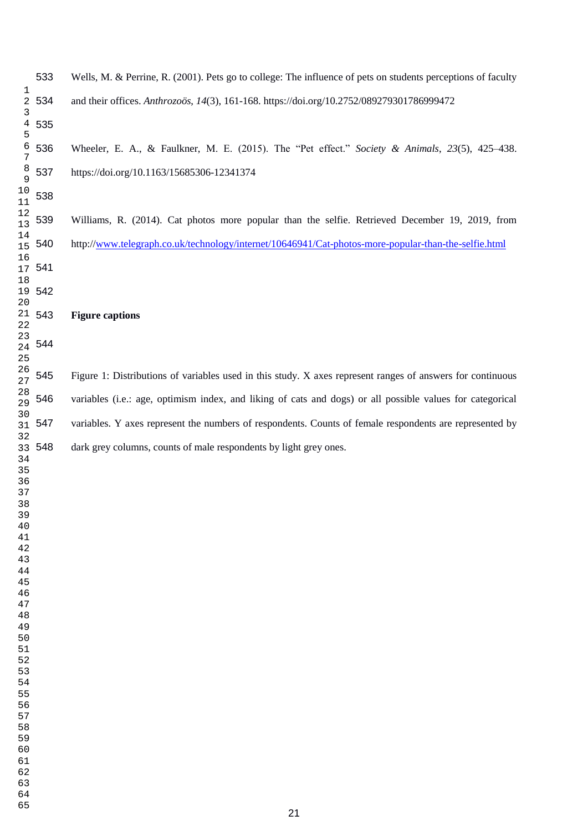Wells, M. & Perrine, R. (2001). Pets go to college: The influence of pets on students perceptions of faculty and their offices. *Anthrozoös*, *14*(3), 161-168. https://doi.org/10.2752/089279301786999472 Wheeler, E. A., & Faulkner, M. E. (2015). The "Pet effect." *Society & Animals*, *23*(5), 425–438. https://doi.org/10.1163/15685306-12341374 Williams, R. (2014). Cat photos more popular than the selfie. Retrieved December 19, 2019, from http:/[/www.telegraph.co.uk/technology/internet/10646941/Cat-photos-more-popular-than-the-selfie.html](http://www.telegraph.co.uk/technology/internet/10646941/Cat-photos-more-popular-than-the-selfie.html) **Figure captions**  Figure 1: Distributions of variables used in this study. X axes represent ranges of answers for continuous variables (i.e.: age, optimism index, and liking of cats and dogs) or all possible values for categorical variables. Y axes represent the numbers of respondents. Counts of female respondents are represented by dark grey columns, counts of male respondents by light grey ones. 2 534 15 540 21 543 33 548

- 
- 
- 
- 
-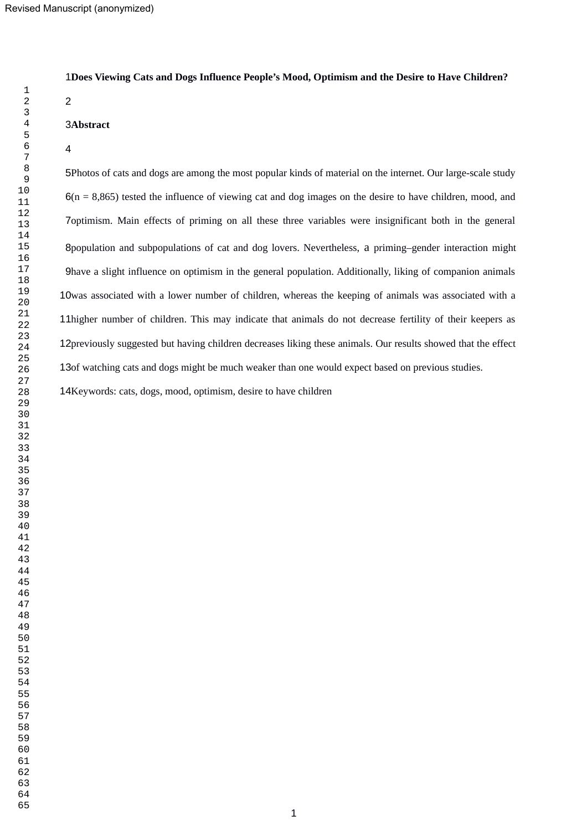**Does Viewing Cats and Dogs Influence People's Mood, Optimism and the Desire to Have Children?**

 

**Abstract**

#### 

5Photos of cats and dogs are among the most popular kinds of material on the internet. Our large-scale study  $6(n = 8,865)$  tested the influence of viewing cat and dog images on the desire to have children, mood, and 7 optimism. Main effects of priming on all these three variables were insignificant both in the general 8population and subpopulations of cat and dog lovers. Nevertheless, a priming-gender interaction might have a slight influence on optimism in the general population. Additionally, liking of companion animals 10was associated with a lower number of children, whereas the keeping of animals was associated with a 11higher number of children. This may indicate that animals do not decrease fertility of their keepers as 12previously suggested but having children decreases liking these animals. Our results showed that the effect 13of watching cats and dogs might be much weaker than one would expect based on previous studies.

14Keywords: cats, dogs, mood, optimism, desire to have children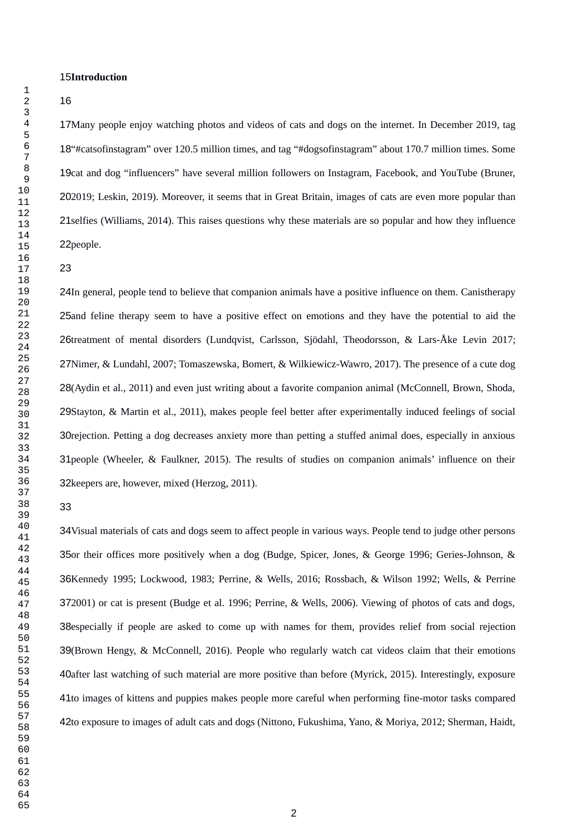#### 15Introduction

17Many people enjoy watching photos and videos of cats and dogs on the internet. In December 2019, tag 18"#catsofinstagram" over 120.5 million times, and tag "#dogsofinstagram" about 170.7 million times. Some 19cat and dog "influencers" have several million followers on Instagram, Facebook, and YouTube (Bruner, 2019; Leskin, 2019). Moreover, it seems that in Great Britain, images of cats are even more popular than 21 selfies (Williams, 2014). This raises questions why these materials are so popular and how they influence 22 people.

24In general, people tend to believe that companion animals have a positive influence on them. Canistherapy 25 and feline therapy seem to have a positive effect on emotions and they have the potential to aid the 26treatment of mental disorders (Lundqvist, Carlsson, Sjödahl, Theodorsson, & Lars-Åke Levin 2017; 27Nimer, & Lundahl, 2007; Tomaszewska, Bomert, & Wilkiewicz-Wawro, 2017). The presence of a cute dog 28(Aydin et al., 2011) and even just writing about a favorite companion animal (McConnell, Brown, Shoda, 29Stayton, & Martin et al., 2011), makes people feel better after experimentally induced feelings of social 30 rejection. Petting a dog decreases anxiety more than petting a stuffed animal does, especially in anxious 31 people (Wheeler, & Faulkner, 2015). The results of studies on companion animals' influence on their 32 keepers are, however, mixed (Herzog, 2011).

34Visual materials of cats and dogs seem to affect people in various ways. People tend to judge other persons 35or their offices more positively when a dog (Budge, Spicer, Jones, & George 1996; Geries-Johnson, & 36Kennedy 1995; Lockwood, 1983; Perrine, & Wells, 2016; Rossbach, & Wilson 1992; Wells, & Perrine 372001) or cat is present (Budge et al. 1996; Perrine, & Wells, 2006). Viewing of photos of cats and dogs, 38especially if people are asked to come up with names for them, provides relief from social rejection 39(Brown Hengy, & McConnell, 2016). People who regularly watch cat videos claim that their emotions 40after last watching of such material are more positive than before (Myrick, 2015). Interestingly, exposure 41to images of kittens and puppies makes people more careful when performing fine-motor tasks compared 42to exposure to images of adult cats and dogs (Nittono, Fukushima, Yano, & Moriya, 2012; Sherman, Haidt,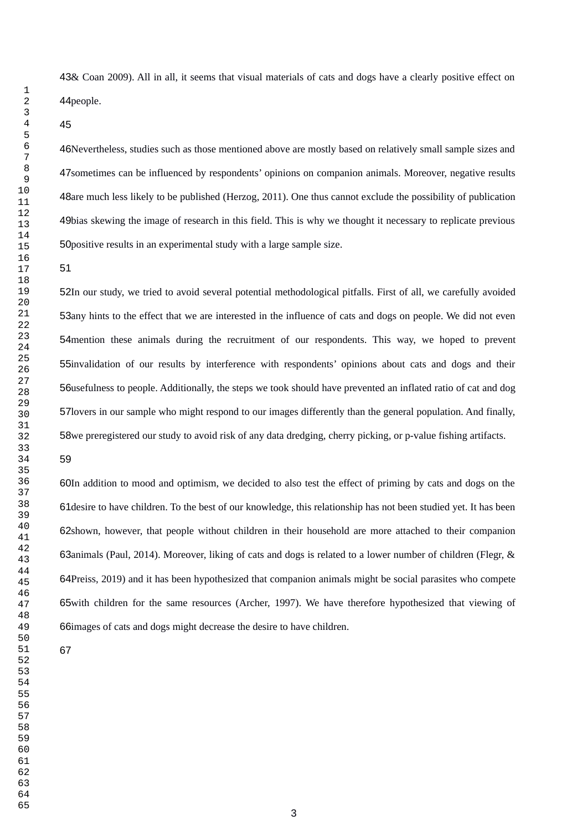43& Coan 2009). All in all, it seems that visual materials of cats and dogs have a clearly positive effect on 44people.

46Nevertheless, studies such as those mentioned above are mostly based on relatively small sample sizes and 47 sometimes can be influenced by respondents' opinions on companion animals. Moreover, negative results 48are much less likely to be published (Herzog, 2011). One thus cannot exclude the possibility of publication 49bias skewing the image of research in this field. This is why we thought it necessary to replicate previous 50 positive results in an experimental study with a large sample size.

52In our study, we tried to avoid several potential methodological pitfalls. First of all, we carefully avoided 53any hints to the effect that we are interested in the influence of cats and dogs on people. We did not even 54 mention these animals during the recruitment of our respondents. This way, we hoped to prevent 55 invalidation of our results by interference with respondents' opinions about cats and dogs and their 56usefulness to people. Additionally, the steps we took should have prevented an inflated ratio of cat and dog 57 lovers in our sample who might respond to our images differently than the general population. And finally, 58we preregistered our study to avoid risk of any data dredging, cherry picking, or p-value fishing artifacts.

60In addition to mood and optimism, we decided to also test the effect of priming by cats and dogs on the 61 desire to have children. To the best of our knowledge, this relationship has not been studied yet. It has been 62shown, however, that people without children in their household are more attached to their companion 63animals (Paul, 2014). Moreover, liking of cats and dogs is related to a lower number of children (Flegr, & 64Preiss, 2019) and it has been hypothesized that companion animals might be social parasites who compete 65with children for the same resources (Archer, 1997). We have therefore hypothesized that viewing of 66 images of cats and dogs might decrease the desire to have children.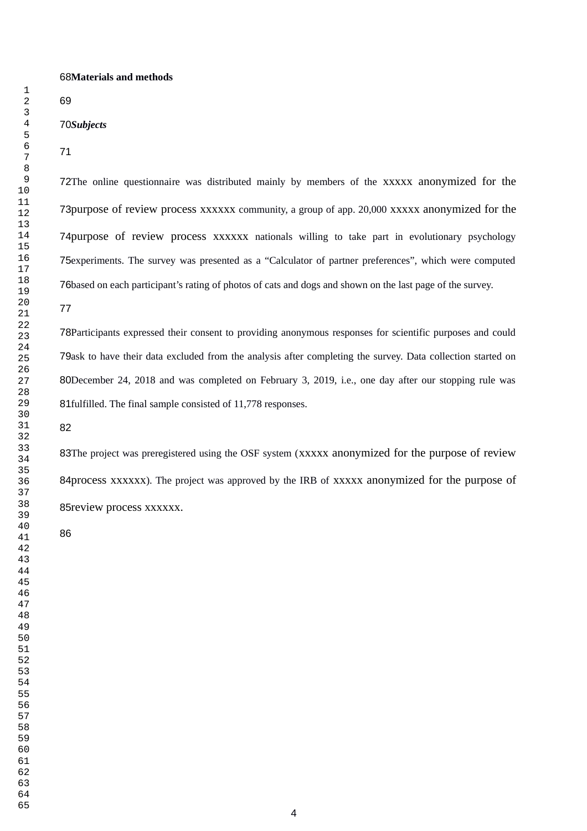#### **Materials and methods**

#### *Subjects*

72The online questionnaire was distributed mainly by members of the xxxxx anonymized for the 73purpose of review process xxxxxx community, a group of app. 20,000 xxxxx anonymized for the 74purpose of review process xxxxxx nationals willing to take part in evolutionary psychology 75 experiments. The survey was presented as a "Calculator of partner preferences", which were computed 76based on each participant's rating of photos of cats and dogs and shown on the last page of the survey.

Participants expressed their consent to providing anonymous responses for scientific purposes and could 79ask to have their data excluded from the analysis after completing the survey. Data collection started on 80December 24, 2018 and was completed on February 3, 2019, i.e., one day after our stopping rule was 81fulfilled. The final sample consisted of 11,778 responses.

83The project was preregistered using the OSF system (XXXXX anonymized for the purpose of review 84process xxxxxx). The project was approved by the IRB of xxxxx anonymized for the purpose of 85 review process xxxxxx.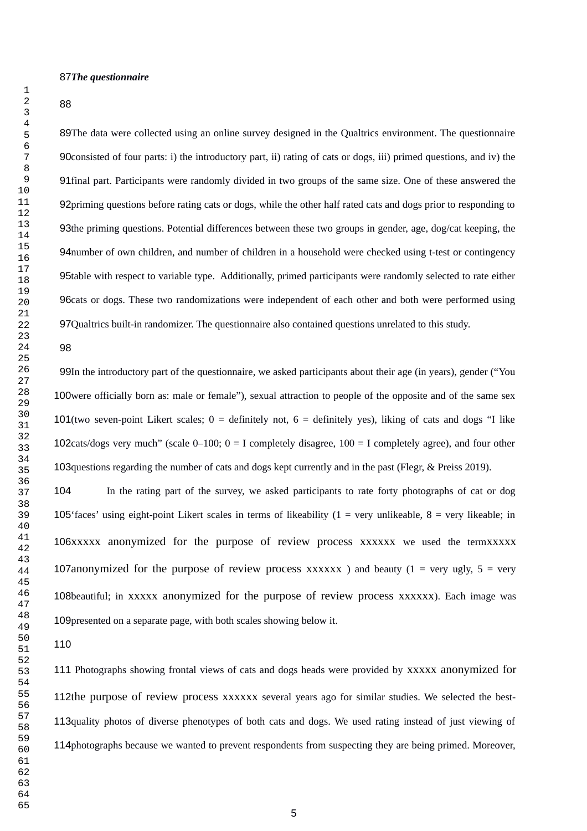#### 87The questionnaire

#### 

89The data were collected using an online survey designed in the Qualtrics environment. The questionnaire 90 consisted of four parts: i) the introductory part, ii) rating of cats or dogs, iii) primed questions, and iv) the 91final part. Participants were randomly divided in two groups of the same size. One of these answered the 92priming questions before rating cats or dogs, while the other half rated cats and dogs prior to responding to 93the priming questions. Potential differences between these two groups in gender, age, dog/cat keeping, the 94 number of own children, and number of children in a household were checked using t-test or contingency 95table with respect to variable type. Additionally, primed participants were randomly selected to rate either 96 cats or dogs. These two randomizations were independent of each other and both were performed using 97 Qualtrics built-in randomizer. The questionnaire also contained questions unrelated to this study.

#### 

99In the introductory part of the questionnaire, we asked participants about their age (in years), gender ("You 100were officially born as: male or female"), sexual attraction to people of the opposite and of the same sex 101(two seven-point Likert scales;  $0 =$  definitely not,  $6 =$  definitely yes), liking of cats and dogs "I like 102cats/dogs very much" (scale  $0-100$ ;  $0=1$  completely disagree,  $100=1$  completely agree), and four other 103 questions regarding the number of cats and dogs kept currently and in the past (Flegr, & Preiss 2019).

In the rating part of the survey, we asked participants to rate forty photographs of cat or dog 105' faces' using eight-point Likert scales in terms of likeability  $(1 = \text{very unlikeable}, 8 = \text{very likeable}; \text{in})$ 106xxxxx anonymized for the purpose of review process xxxxxx we used the termxxxxx 107anonymized for the purpose of review process  $xxxxxx$ ) and beauty (1 = very ugly, 5 = very 108beautiful; in xxxxx anonymized for the purpose of review process xxxxxx). Each image was 109 presented on a separate page, with both scales showing below it. 

111 Photographs showing frontal views of cats and dogs heads were provided by xxxxx anonymized for 112the purpose of review process xxxxxx several years ago for similar studies. We selected the best-113 quality photos of diverse phenotypes of both cats and dogs. We used rating instead of just viewing of 114 photographs because we wanted to prevent respondents from suspecting they are being primed. Moreover,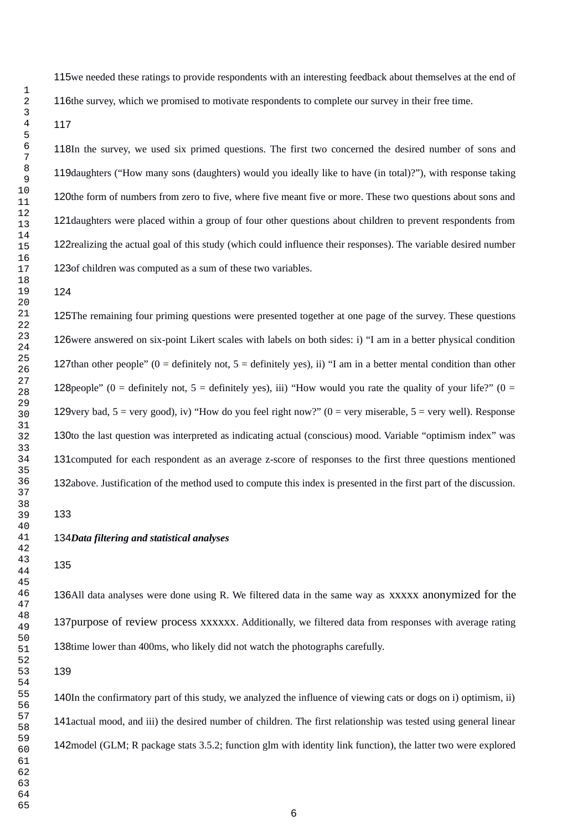115we needed these ratings to provide respondents with an interesting feedback about themselves at the end of 116the survey, which we promised to motivate respondents to complete our survey in their free time.

118In the survey, we used six primed questions. The first two concerned the desired number of sons and 119daughters ("How many sons (daughters) would you ideally like to have (in total)?"), with response taking 120the form of numbers from zero to five, where five meant five or more. These two questions about sons and 121 daughters were placed within a group of four other questions about children to prevent respondents from 122 realizing the actual goal of this study (which could influence their responses). The variable desired number 123 of children was computed as a sum of these two variables.

125The remaining four priming questions were presented together at one page of the survey. These questions 126were answered on six-point Likert scales with labels on both sides: i) "I am in a better physical condition 127than other people" ( $0 =$  definitely not,  $5 =$  definitely yes), ii) "I am in a better mental condition than other 128 people" (0 = definitely not, 5 = definitely yes), iii) "How would you rate the quality of your life?" (0 = 129 very bad, = very good), iv) "How do you feel right now?" (0 = very miserable,  $5$  = very well). Response 130to the last question was interpreted as indicating actual (conscious) mood. Variable "optimism index" was 131 computed for each respondent as an average z-score of responses to the first three questions mentioned 132above. Justification of the method used to compute this index is presented in the first part of the discussion.

#### *Data filtering and statistical analyses*

136All data analyses were done using R. We filtered data in the same way as xxxxx anonymized for the 137purpose of review process xxxxxx. Additionally, we filtered data from responses with average rating 138time lower than 400ms, who likely did not watch the photographs carefully.

140In the confirmatory part of this study, we analyzed the influence of viewing cats or dogs on i) optimism, ii) 141 actual mood, and iii) the desired number of children. The first relationship was tested using general linear 142 model (GLM; R package stats 3.5.2; function glm with identity link function), the latter two were explored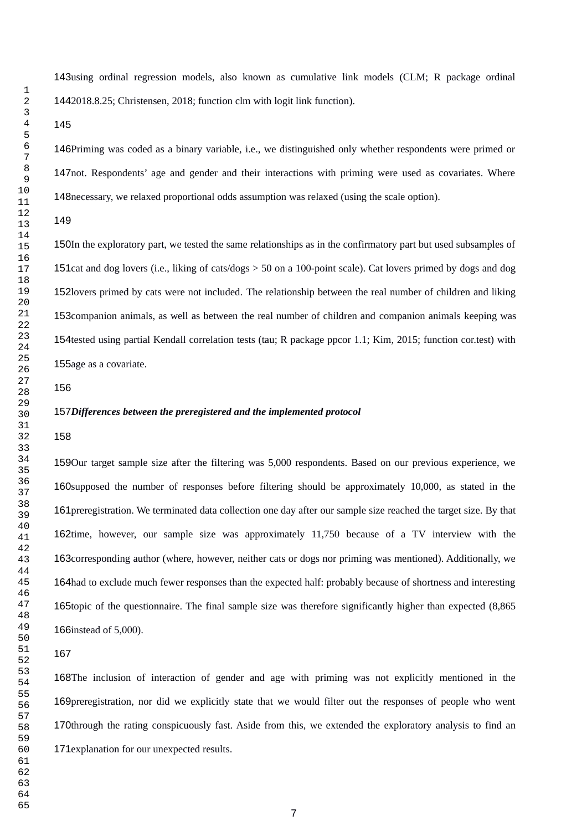143using ordinal regression models, also known as cumulative link models (CLM; R package ordinal 1442018.8.25; Christensen, 2018; function clm with logit link function).

146Priming was coded as a binary variable, i.e., we distinguished only whether respondents were primed or 147not. Respondents' age and gender and their interactions with priming were used as covariates. Where 148 necessary, we relaxed proportional odds assumption was relaxed (using the scale option).

#### 

150In the exploratory part, we tested the same relationships as in the confirmatory part but used subsamples of 151 cat and dog lovers (i.e., liking of cats/dogs > 50 on a 100-point scale). Cat lovers primed by dogs and dog 152lovers primed by cats were not included. The relationship between the real number of children and liking 153 companion animals, as well as between the real number of children and companion animals keeping was 154tested using partial Kendall correlation tests (tau; R package ppcor 1.1; Kim, 2015; function cor.test) with 155age as a covariate.

#### *Differences between the preregistered and the implemented protocol*

159Our target sample size after the filtering was 5,000 respondents. Based on our previous experience, we 160supposed the number of responses before filtering should be approximately 10,000, as stated in the 161 preregistration. We terminated data collection one day after our sample size reached the target size. By that 162time, however, our sample size was approximately 11,750 because of a TV interview with the 163 corresponding author (where, however, neither cats or dogs nor priming was mentioned). Additionally, we 164 had to exclude much fewer responses than the expected half: probably because of shortness and interesting 165topic of the questionnaire. The final sample size was therefore significantly higher than expected (8,865 166instead of 5,000).

168The inclusion of interaction of gender and age with priming was not explicitly mentioned in the 169 preregistration, nor did we explicitly state that we would filter out the responses of people who went 170through the rating conspicuously fast. Aside from this, we extended the exploratory analysis to find an 171 explanation for our unexpected results.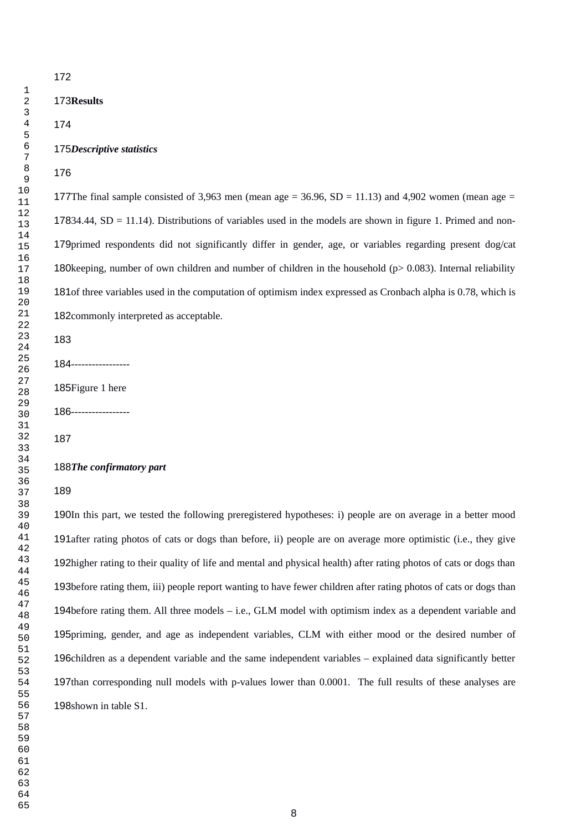#### 175Descriptive statistics

177The final sample consisted of 3,963 men (mean age = 36.96, SD = 11.13) and 4,902 women (mean age =  $17834.44$ , SD = 11.14). Distributions of variables used in the models are shown in figure 1. Primed and non-179 primed respondents did not significantly differ in gender, age, or variables regarding present dog/cat 180 keeping, number of own children and number of children in the household ( $p$  > 0.083). Internal reliability 181of three variables used in the computation of optimism index expressed as Cronbach alpha is 0.78, which is 182 commonly interpreted as acceptable.

184------------------

185Figure 1 here

-----------------

#### 188The confirmatory part

190In this part, we tested the following preregistered hypotheses: i) people are on average in a better mood 191after rating photos of cats or dogs than before, ii) people are on average more optimistic (i.e., they give 192higher rating to their quality of life and mental and physical health) after rating photos of cats or dogs than 193before rating them, iii) people report wanting to have fewer children after rating photos of cats or dogs than 194before rating them. All three models - i.e., GLM model with optimism index as a dependent variable and 195 priming, gender, and age as independent variables, CLM with either mood or the desired number of 196children as a dependent variable and the same independent variables – explained data significantly better 197than corresponding null models with p-values lower than 0.0001. The full results of these analyses are 198shown in table S1.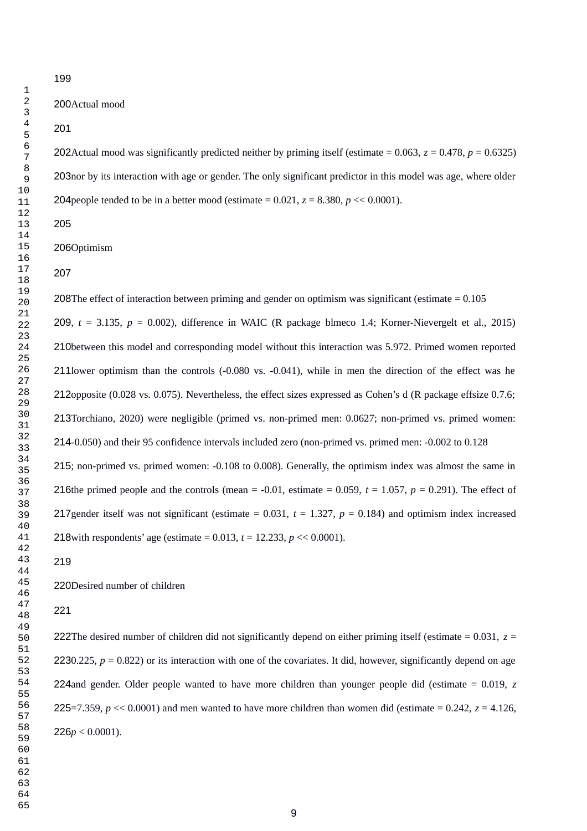#### 

200Actual mood

202Actual mood was significantly predicted neither by priming itself (estimate =  $0.063$ ,  $z = 0.478$ ,  $p = 0.6325$ ) 203nor by its interaction with age or gender. The only significant predictor in this model was age, where older 204 people tended to be in a better mood (estimate  $= 0.021$ ,  $z = 8.380$ ,  $p \ll 0.0001$ ).

#### 

206Optimism

208The effect of interaction between priming and gender on optimism was significant (estimate  $= 0.105$ 209,  $t = 3.135$ ,  $p = 0.002$ ), difference in WAIC (R package blmeco 1.4; Korner-Nievergelt et al., 2015) 210between this model and corresponding model without this interaction was 5.972. Primed women reported 211lower optimism than the controls  $(-0.080 \text{ vs. } -0.041)$ , while in men the direction of the effect was he 212opposite (0.028 vs. 0.075). Nevertheless, the effect sizes expressed as Cohen's d (R package effsize 0.7.6; 213Torchiano, 2020) were negligible (primed vs. non-primed men: 0.0627; non-primed vs. primed women: 214-0.050) and their 95 confidence intervals included zero (non-primed vs. primed men: -0.002 to 0.128 215; non-primed vs. primed women: -0.108 to 0.008). Generally, the optimism index was almost the same in 216the primed people and the controls (mean  $= -0.01$ , estimate  $= 0.059$ ,  $t = 1.057$ ,  $p = 0.291$ ). The effect of 217 gender itself was not significant (estimate  $= 0.031$ ,  $t = 1.327$ ,  $p = 0.184$ ) and optimism index increased 218 with respondents' age (estimate =  $0.013$ ,  $t = 12.233$ ,  $p \ll 0.0001$ ).

220Desired number of children

222The desired number of children did not significantly depend on either priming itself (estimate  $= 0.031$ ,  $z =$ 2230.225,  $p = 0.822$ ) or its interaction with one of the covariates. It did, however, significantly depend on age 224 and gender. Older people wanted to have more children than younger people did (estimate = 0.019, *z* 225 = 7.359,  $p \ll 0.0001$  and men wanted to have more children than women did (estimate = 0.242,  $z = 4.126$ ,  $226p < 0.0001$ ).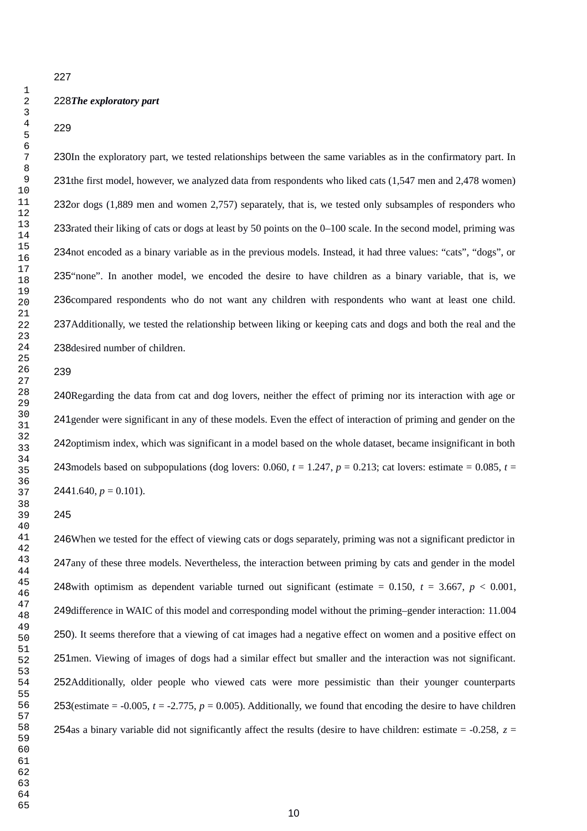#### 

#### *The exploratory part*

#### 

230In the exploratory part, we tested relationships between the same variables as in the confirmatory part. In 231the first model, however, we analyzed data from respondents who liked cats (1,547 men and 2,478 women) 232or dogs (1,889 men and women 2,757) separately, that is, we tested only subsamples of responders who 233 rated their liking of cats or dogs at least by 50 points on the 0–100 scale. In the second model, priming was 234not encoded as a binary variable as in the previous models. Instead, it had three values: "cats", "dogs", or 235"none". In another model, we encoded the desire to have children as a binary variable, that is, we 236 compared respondents who do not want any children with respondents who want at least one child. 237 Additionally, we tested the relationship between liking or keeping cats and dogs and both the real and the 238 desired number of children.

#### 

240Regarding the data from cat and dog lovers, neither the effect of priming nor its interaction with age or 241 gender were significant in any of these models. Even the effect of interaction of priming and gender on the 242 optimism index, which was significant in a model based on the whole dataset, became insignificant in both 243 models based on subpopulations (dog lovers:  $0.060$ ,  $t = 1.247$ ,  $p = 0.213$ ; cat lovers: estimate = 0.085,  $t =$  $2441.640, p = 0.101$ .

#### 

246When we tested for the effect of viewing cats or dogs separately, priming was not a significant predictor in 247any of these three models. Nevertheless, the interaction between priming by cats and gender in the model 248 with optimism as dependent variable turned out significant (estimate =  $0.150$ ,  $t = 3.667$ ,  $p < 0.001$ , 249difference in WAIC of this model and corresponding model without the priming–gender interaction: 11.004 ). It seems therefore that a viewing of cat images had a negative effect on women and a positive effect on 251 men. Viewing of images of dogs had a similar effect but smaller and the interaction was not significant. 252Additionally, older people who viewed cats were more pessimistic than their younger counterparts 253(estimate  $=$  -0.005,  $t = -2.775$ ,  $p = 0.005$ ). Additionally, we found that encoding the desire to have children 254as a binary variable did not significantly affect the results (desire to have children: estimate  $=$  -0.258,  $z =$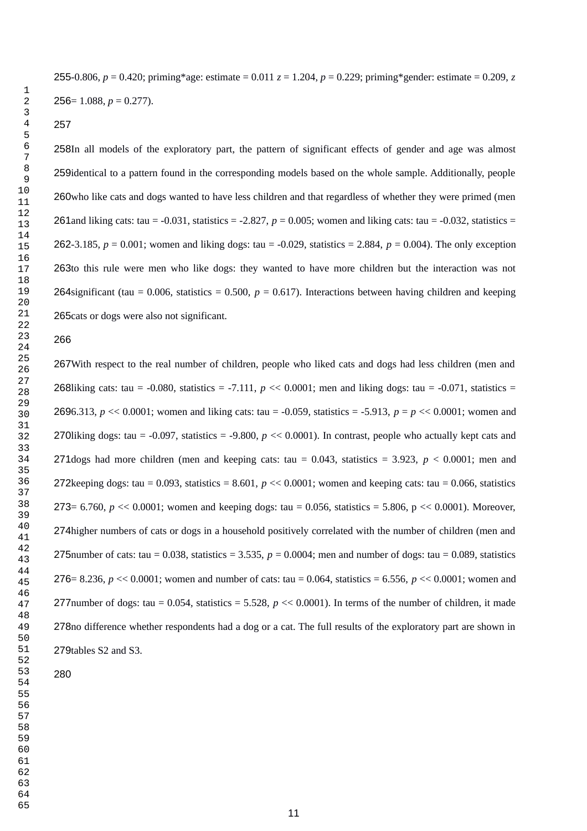### -0.806, *p* = 0.420; priming\*age: estimate = 0.011 *z* = 1.204, *p* = 0.229; priming\*gender: estimate = 0.209, *z*  $256 = 1.088, p = 0.277$ .

258In all models of the exploratory part, the pattern of significant effects of gender and age was almost 259identical to a pattern found in the corresponding models based on the whole sample. Additionally, people 260who like cats and dogs wanted to have less children and that regardless of whether they were primed (men 261 and liking cats: tau  $= -0.031$ , statistics  $= -2.827$ ,  $p = 0.005$ ; women and liking cats: tau  $= -0.032$ , statistics  $=$ 262-3.185,  $p = 0.001$ ; women and liking dogs: tau = -0.029, statistics = 2.884,  $p = 0.004$ ). The only exception 263to this rule were men who like dogs: they wanted to have more children but the interaction was not 264 significant (tau =  $0.006$ , statistics =  $0.500$ ,  $p = 0.617$ ). Interactions between having children and keeping 265 cats or dogs were also not significant.

#### 

267 With respect to the real number of children, people who liked cats and dogs had less children (men and 268liking cats: tau =  $-0.080$ , statistics =  $-7.111$ ,  $p \ll 0.0001$ ; men and liking dogs: tau =  $-0.071$ , statistics = 6.313, *p* << 0.0001; women and liking cats: tau = -0.059, statistics = -5.913, *p* = *p* << 0.0001; women and 270liking dogs: tau =  $-0.097$ , statistics =  $-9.800$ ,  $p \ll 0.0001$ ). In contrast, people who actually kept cats and 271 dogs had more children (men and keeping cats: tau =  $0.043$ , statistics = 3.923,  $p < 0.0001$ ; men and 272 keeping dogs: tau = 0.093, statistics = 8.601,  $p \ll 0.0001$ ; women and keeping cats: tau = 0.066, statistics  $273 = 6.760, p \ll 0.0001$ ; women and keeping dogs: tau = 0.056, statistics = 5.806, p  $\ll 0.0001$ ). Moreover, 274 higher numbers of cats or dogs in a household positively correlated with the number of children (men and 275 number of cats: tau =  $0.038$ , statistics = 3.535,  $p = 0.0004$ ; men and number of dogs: tau = 0.089, statistics  $276 = 8.236$ ,  $p \ll 0.0001$ ; women and number of cats: tau = 0.064, statistics = 6.556,  $p \ll 0.0001$ ; women and 277 number of dogs: tau =  $0.054$ , statistics =  $5.528$ ,  $p \ll 0.0001$ ). In terms of the number of children, it made 278no difference whether respondents had a dog or a cat. The full results of the exploratory part are shown in 279tables S2 and S3.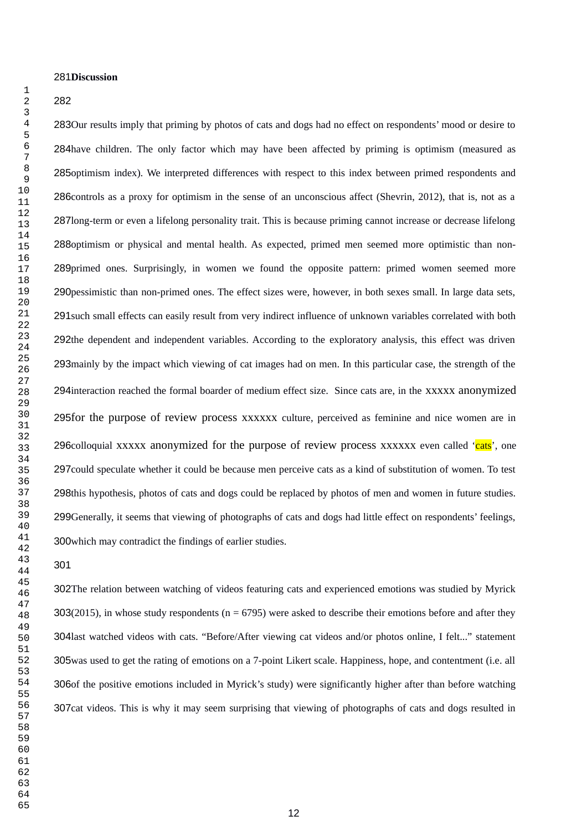#### 281Discussion

#### 

283Our results imply that priming by photos of cats and dogs had no effect on respondents' mood or desire to 284 have children. The only factor which may have been affected by priming is optimism (measured as 285 optimism index). We interpreted differences with respect to this index between primed respondents and 286 controls as a proxy for optimism in the sense of an unconscious affect (Shevrin, 2012), that is, not as a 287long-term or even a lifelong personality trait. This is because priming cannot increase or decrease lifelong 288 optimism or physical and mental health. As expected, primed men seemed more optimistic than non-289primed ones. Surprisingly, in women we found the opposite pattern: primed women seemed more 290 pessimistic than non-primed ones. The effect sizes were, however, in both sexes small. In large data sets, 291 such small effects can easily result from very indirect influence of unknown variables correlated with both 292the dependent and independent variables. According to the exploratory analysis, this effect was driven 293 mainly by the impact which viewing of cat images had on men. In this particular case, the strength of the 294 interaction reached the formal boarder of medium effect size. Since cats are, in the xxxxx anonymized 295 for the purpose of review process xxxxxx culture, perceived as feminine and nice women are in 296colloquial xxxxx anonymized for the purpose of review process xxxxxx even called '<mark>cats</mark>', one 297 could speculate whether it could be because men perceive cats as a kind of substitution of women. To test 298this hypothesis, photos of cats and dogs could be replaced by photos of men and women in future studies. 299Generally, it seems that viewing of photographs of cats and dogs had little effect on respondents' feelings, 300 which may contradict the findings of earlier studies.

#### 

302The relation between watching of videos featuring cats and experienced emotions was studied by Myrick 303(2015), in whose study respondents ( $n = 6795$ ) were asked to describe their emotions before and after they 304last watched videos with cats. "Before/After viewing cat videos and/or photos online, I felt..." statement 305was used to get the rating of emotions on a 7-point Likert scale. Happiness, hope, and contentment (i.e. all 306of the positive emotions included in Myrick's study) were significantly higher after than before watching 307cat videos. This is why it may seem surprising that viewing of photographs of cats and dogs resulted in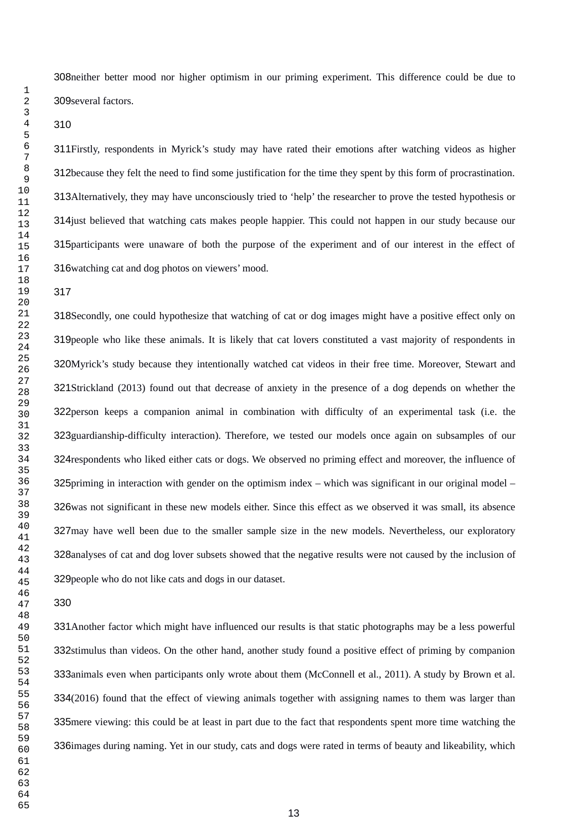308 neither better mood nor higher optimism in our priming experiment. This difference could be due to 309several factors.

311Firstly, respondents in Myrick's study may have rated their emotions after watching videos as higher 312because they felt the need to find some justification for the time they spent by this form of procrastination. 313Alternatively, they may have unconsciously tried to 'help' the researcher to prove the tested hypothesis or 314 just believed that watching cats makes people happier. This could not happen in our study because our 315 participants were unaware of both the purpose of the experiment and of our interest in the effect of 316 watching cat and dog photos on viewers' mood.

318Secondly, one could hypothesize that watching of cat or dog images might have a positive effect only on 319 people who like these animals. It is likely that cat lovers constituted a vast majority of respondents in 320Myrick's study because they intentionally watched cat videos in their free time. Moreover, Stewart and 321Strickland (2013) found out that decrease of anxiety in the presence of a dog depends on whether the 322 person keeps a companion animal in combination with difficulty of an experimental task (i.e. the 323 guardianship-difficulty interaction). Therefore, we tested our models once again on subsamples of our 324 respondents who liked either cats or dogs. We observed no priming effect and moreover, the influence of 325 priming in interaction with gender on the optimism index  $-$  which was significant in our original model  $-$ 326was not significant in these new models either. Since this effect as we observed it was small, its absence 327may have well been due to the smaller sample size in the new models. Nevertheless, our exploratory 328 analyses of cat and dog lover subsets showed that the negative results were not caused by the inclusion of 329 people who do not like cats and dogs in our dataset.

331 Another factor which might have influenced our results is that static photographs may be a less powerful 332stimulus than videos. On the other hand, another study found a positive effect of priming by companion 333animals even when participants only wrote about them (McConnell et al., 2011). A study by Brown et al. 334(2016) found that the effect of viewing animals together with assigning names to them was larger than 335 mere viewing: this could be at least in part due to the fact that respondents spent more time watching the 336 images during naming. Yet in our study, cats and dogs were rated in terms of beauty and likeability, which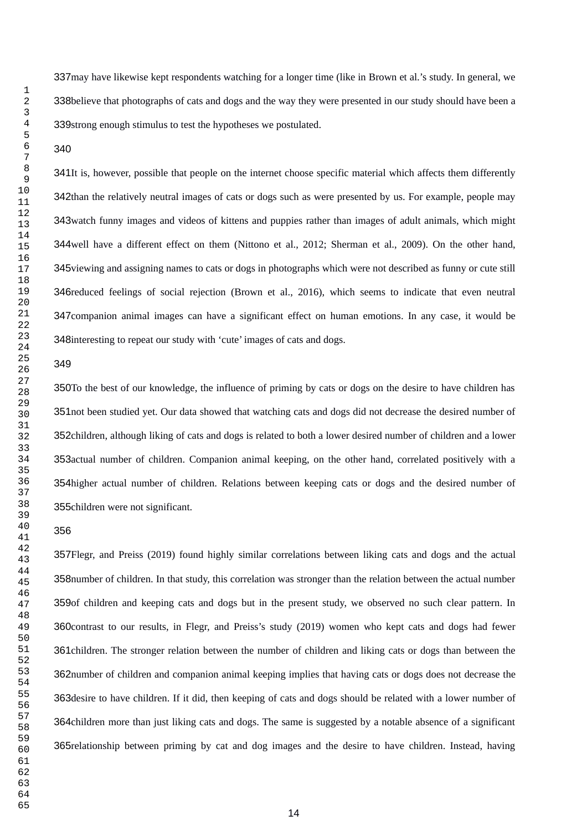337 may have likewise kept respondents watching for a longer time (like in Brown et al.'s study. In general, we 338believe that photographs of cats and dogs and the way they were presented in our study should have been a 339strong enough stimulus to test the hypotheses we postulated.

341It is, however, possible that people on the internet choose specific material which affects them differently 342than the relatively neutral images of cats or dogs such as were presented by us. For example, people may 343 watch funny images and videos of kittens and puppies rather than images of adult animals, which might well have a different effect on them (Nittono et al., 2012; Sherman et al., 2009). On the other hand, 345 viewing and assigning names to cats or dogs in photographs which were not described as funny or cute still 346 reduced feelings of social rejection (Brown et al., 2016), which seems to indicate that even neutral 347 companion animal images can have a significant effect on human emotions. In any case, it would be 348 interesting to repeat our study with 'cute' images of cats and dogs.

#### 

350To the best of our knowledge, the influence of priming by cats or dogs on the desire to have children has 351 not been studied yet. Our data showed that watching cats and dogs did not decrease the desired number of 352children, although liking of cats and dogs is related to both a lower desired number of children and a lower 353 actual number of children. Companion animal keeping, on the other hand, correlated positively with a 354 higher actual number of children. Relations between keeping cats or dogs and the desired number of 355children were not significant.

#### 

357Flegr, and Preiss (2019) found highly similar correlations between liking cats and dogs and the actual 358 number of children. In that study, this correlation was stronger than the relation between the actual number 359of children and keeping cats and dogs but in the present study, we observed no such clear pattern. In 360 contrast to our results, in Flegr, and Preiss's study (2019) women who kept cats and dogs had fewer 361 children. The stronger relation between the number of children and liking cats or dogs than between the 362number of children and companion animal keeping implies that having cats or dogs does not decrease the 363 desire to have children. If it did, then keeping of cats and dogs should be related with a lower number of 364children more than just liking cats and dogs. The same is suggested by a notable absence of a significant 365 relationship between priming by cat and dog images and the desire to have children. Instead, having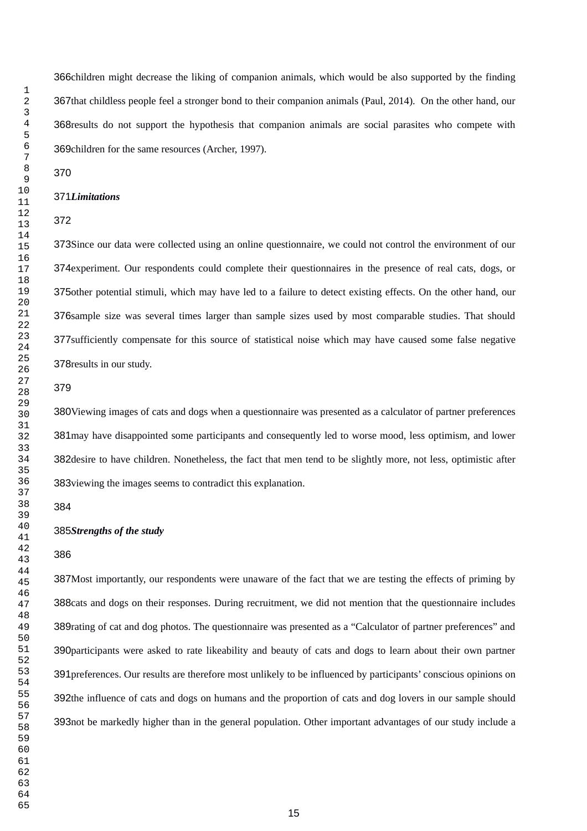366children might decrease the liking of companion animals, which would be also supported by the finding 367that childless people feel a stronger bond to their companion animals (Paul, 2014). On the other hand, our 368 results do not support the hypothesis that companion animals are social parasites who compete with 369 children for the same resources (Archer, 1997).

#### *Limitations*

#### 

373Since our data were collected using an online questionnaire, we could not control the environment of our 374 experiment. Our respondents could complete their questionnaires in the presence of real cats, dogs, or 375other potential stimuli, which may have led to a failure to detect existing effects. On the other hand, our 376 sample size was several times larger than sample sizes used by most comparable studies. That should 377 sufficiently compensate for this source of statistical noise which may have caused some false negative 378 results in our study.

#### 

380Viewing images of cats and dogs when a questionnaire was presented as a calculator of partner preferences 381 may have disappointed some participants and consequently led to worse mood, less optimism, and lower 382 desire to have children. Nonetheless, the fact that men tend to be slightly more, not less, optimistic after 383 viewing the images seems to contradict this explanation.

#### *Strengths of the study*

#### 

387Most importantly, our respondents were unaware of the fact that we are testing the effects of priming by 388 cats and dogs on their responses. During recruitment, we did not mention that the questionnaire includes 389 rating of cat and dog photos. The questionnaire was presented as a "Calculator of partner preferences" and 390 participants were asked to rate likeability and beauty of cats and dogs to learn about their own partner 391 preferences. Our results are therefore most unlikely to be influenced by participants' conscious opinions on 392the influence of cats and dogs on humans and the proportion of cats and dog lovers in our sample should 393not be markedly higher than in the general population. Other important advantages of our study include a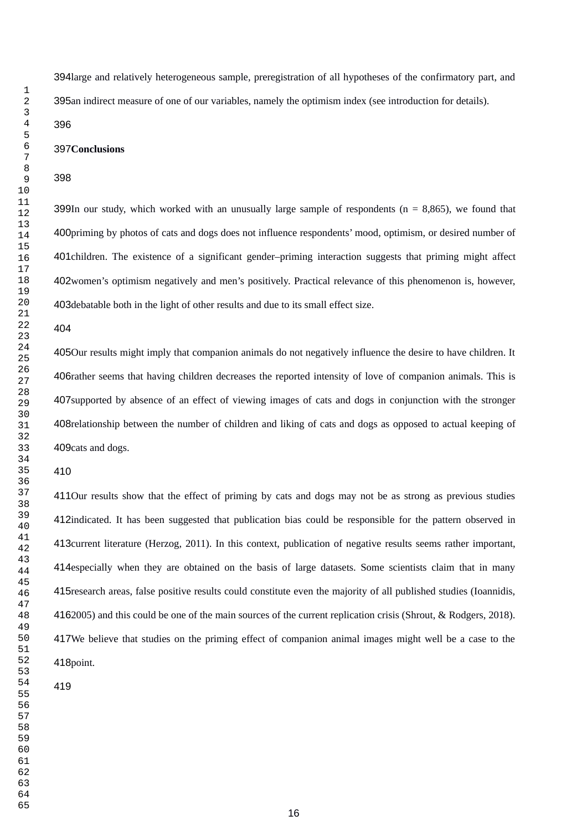394large and relatively heterogeneous sample, preregistration of all hypotheses of the confirmatory part, and 395an indirect measure of one of our variables, namely the optimism index (see introduction for details).

### 

#### 397Conclusions

#### 

399In our study, which worked with an unusually large sample of respondents ( $n = 8,865$ ), we found that 400 priming by photos of cats and dogs does not influence respondents' mood, optimism, or desired number of 401children. The existence of a significant gender-priming interaction suggests that priming might affect 402women's optimism negatively and men's positively. Practical relevance of this phenomenon is, however, 403debatable both in the light of other results and due to its small effect size.

#### 

405Our results might imply that companion animals do not negatively influence the desire to have children. It 406rather seems that having children decreases the reported intensity of love of companion animals. This is 407 supported by absence of an effect of viewing images of cats and dogs in conjunction with the stronger 408relationship between the number of children and liking of cats and dogs as opposed to actual keeping of 409 cats and dogs.

#### 

411Our results show that the effect of priming by cats and dogs may not be as strong as previous studies 412indicated. It has been suggested that publication bias could be responsible for the pattern observed in 413 current literature (Herzog, 2011). In this context, publication of negative results seems rather important, 414especially when they are obtained on the basis of large datasets. Some scientists claim that in many 415 research areas, false positive results could constitute even the majority of all published studies (Ioannidis, 4162005) and this could be one of the main sources of the current replication crisis (Shrout, & Rodgers, 2018). We believe that studies on the priming effect of companion animal images might well be a case to the 418 point.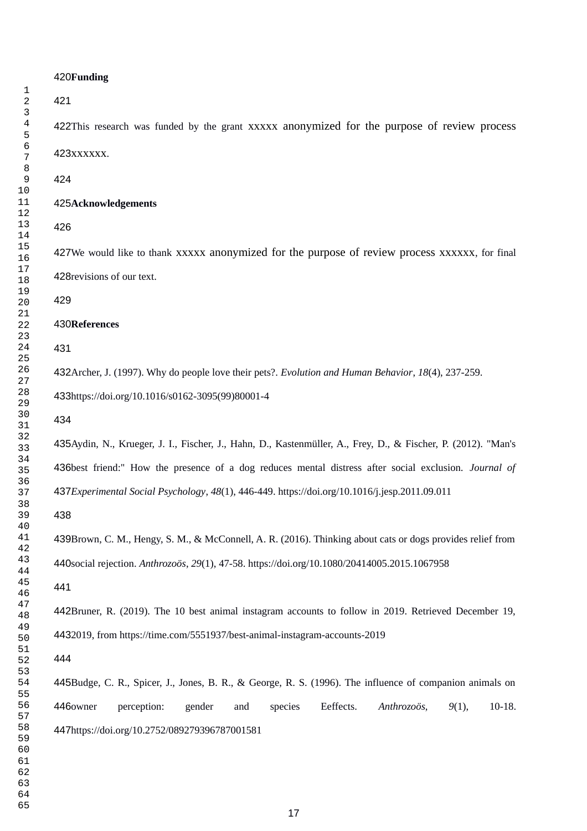## 420Funding 422This research was funded by the grant xxxxx anonymized for the purpose of review process 423xxxxxx. **Acknowledgements** 427We would like to thank xxxxx anonymized for the purpose of review process xxxxxx, for final 428 revisions of our text. **References** 432Archer, J. (1997). Why do people love their pets?. *Evolution and Human Behavior*, 18(4), 237-259. 433https://doi.org/10.1016/s0162-3095(99)80001-4 435Aydin, N., Krueger, J. I., Fischer, J., Hahn, D., Kastenmüller, A., Frey, D., & Fischer, P. (2012). "Man's 436best friend:" How the presence of a dog reduces mental distress after social exclusion. *Journal of Experimental Social Psychology*, *48*(1), 446-449. https://doi.org/10.1016/j.jesp.2011.09.011 439Brown, C. M., Hengy, S. M., & McConnell, A. R. (2016). Thinking about cats or dogs provides relief from social rejection. *Anthrozoös*, *29*(1), 47-58. https://doi.org/10.1080/20414005.2015.1067958 442Bruner, R. (2019). The 10 best animal instagram accounts to follow in 2019. Retrieved December 19, 2019, from https://time.com/5551937/best-animal-instagram-accounts-2019 445Budge, C. R., Spicer, J., Jones, B. R., & George, R. S. (1996). The influence of companion animals on perception: gender and species Eeffects. Anthrozoös, 9(1), 10-18. 447https://doi.org/10.2752/089279396787001581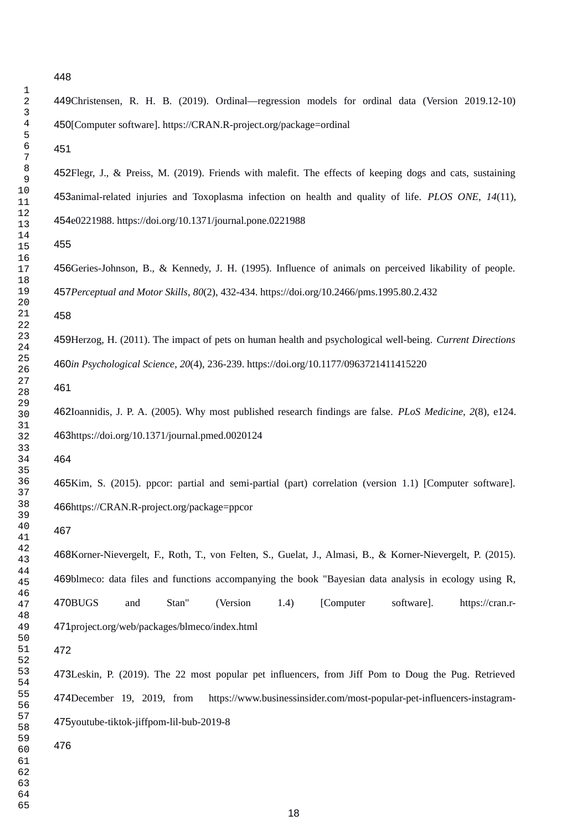Christensen, R. H. B. (2019). Ordinal—regression models for ordinal data (Version 2019.12-10) 450[Computer software]. https://CRAN.R-project.org/package=ordinal 452Flegr, J., & Preiss, M. (2019). Friends with malefit. The effects of keeping dogs and cats, sustaining 453animal-related injuries and Toxoplasma infection on health and quality of life. *PLOS ONE*, 14(11), e0221988. https://doi.org/10.1371/journal.pone.0221988 456Geries-Johnson, B., & Kennedy, J. H. (1995). Influence of animals on perceived likability of people. *Perceptual and Motor Skills*, *80*(2), 432-434. https://doi.org/10.2466/pms.1995.80.2.432 Herzog, H. (2011). The impact of pets on human health and psychological well-being. *Current Directions in Psychological Science*, *20*(4), 236-239. https://doi.org/10.1177/0963721411415220 462Ioannidis, J. P. A. (2005). Why most published research findings are false. *PLoS Medicine*, 2(8), e124. 463https://doi.org/10.1371/journal.pmed.0020124 465Kim, S. (2015). ppcor: partial and semi-partial (part) correlation (version 1.1) [Computer software]. 466https://CRAN.R-project.org/package=ppcor 468Korner-Nievergelt, F., Roth, T., von Felten, S., Guelat, J., Almasi, B., & Korner-Nievergelt, P. (2015). 

469blmeco: data files and functions accompanying the book "Bayesian data analysis in ecology using R, and Stan" (Version 1.4) [Computer software]. https://cran.rproject.org/web/packages/blmeco/index.html 470BUGS

473Leskin, P. (2019). The 22 most popular pet influencers, from Jiff Pom to Doug the Pug. Retrieved https://www.businessinsider.com/most-popular-pet-influencers-instagram-475youtube-tiktok-jiffpom-lil-bub-2019-8 474December 19, 2019, from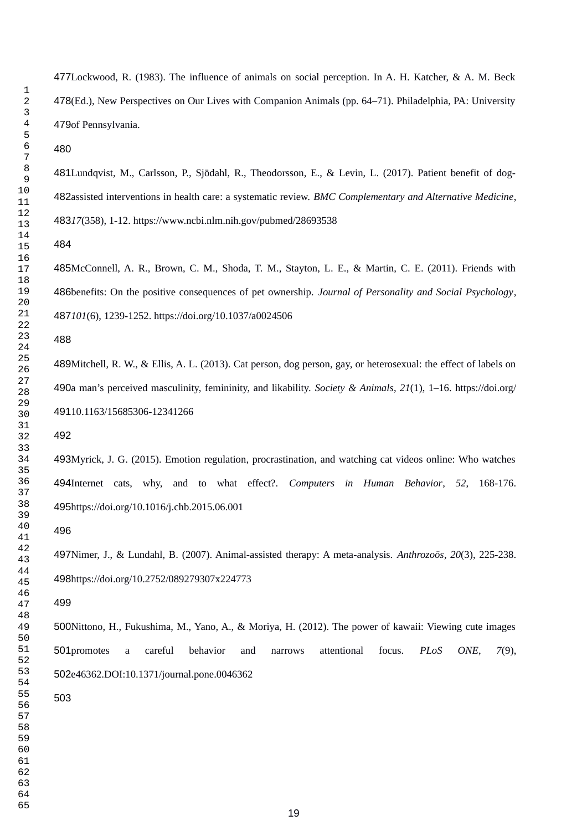477Lockwood, R. (1983). The influence of animals on social perception. In A. H. Katcher, & A. M. Beck 478(Ed.), New Perspectives on Our Lives with Companion Animals (pp. 64–71). Philadelphia, PA: University 479of Pennsylvania.

481Lundqvist, M., Carlsson, P., Sjödahl, R., Theodorsson, E., & Levin, L. (2017). Patient benefit of dog-482 assisted interventions in health care: a systematic review. BMC Complementary and Alternative Medicine, *17*(358), 1-12. https://www.ncbi.nlm.nih.gov/pubmed/28693538

485McConnell, A. R., Brown, C. M., Shoda, T. M., Stayton, L. E., & Martin, C. E. (2011). Friends with benefits: On the positive consequences of pet ownership. *Journal of Personality and Social Psychology*, *101*(6), 1239-1252. https://doi.org/10.1037/a0024506

489Mitchell, R. W., & Ellis, A. L. (2013). Cat person, dog person, gay, or heterosexual: the effect of labels on a man's perceived masculinity, femininity, and likability. *Society & Animals*, *21*(1), 1–16. https://doi.org/ 49110.1163/15685306-12341266

493Myrick, J. G. (2015). Emotion regulation, procrastination, and watching cat videos online: Who watches Internet cats, why, and to what effect?. *Computers in Human Behavior*, *52*, 168-176. 495https://doi.org/10.1016/j.chb.2015.06.001

Nimer, J., & Lundahl, B. (2007). Animal-assisted therapy: A meta-analysis. *Anthrozoös*, *20*(3), 225-238. 498https://doi.org/10.2752/089279307x224773

500Nittono, H., Fukushima, M., Yano, A., & Moriya, H. (2012). The power of kawaii: Viewing cute images promotes a careful behavior and narrows attentional focus. *PLoS ONE*, *7*(9), 502e46362.DOI:10.1371/journal.pone.0046362 501promotes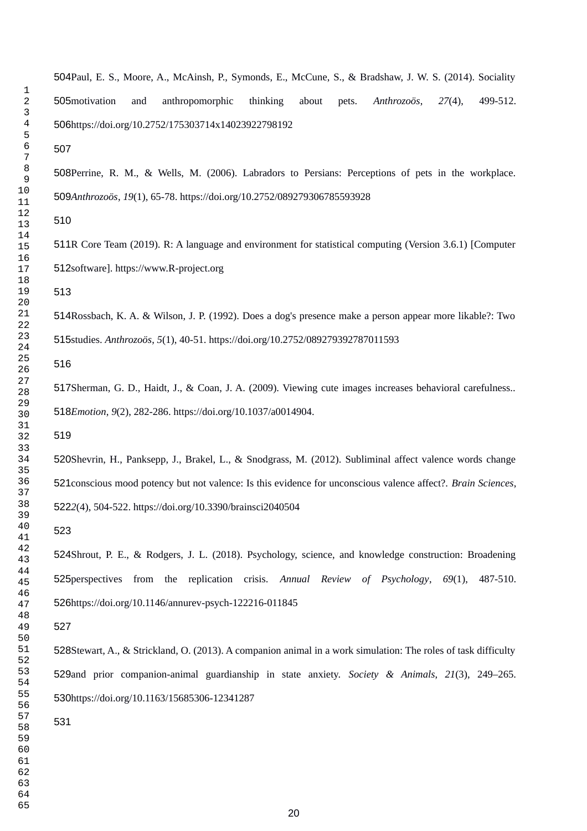504Paul, E. S., Moore, A., McAinsh, P., Symonds, E., McCune, S., & Bradshaw, J. W. S. (2014). Sociality and anthropomorphic thinking about pets. *Anthrozoös*, 27(4), 499-512. 506https://doi.org/10.2752/175303714x14023922798192 505motivation

508Perrine, R. M., & Wells, M. (2006). Labradors to Persians: Perceptions of pets in the workplace. *Anthrozoös*, *19*(1), 65-78. https://doi.org/10.2752/089279306785593928

511R Core Team (2019). R: A language and environment for statistical computing (Version 3.6.1) [Computer 512software]. https://www.R-project.org

514Rossbach, K. A. & Wilson, J. P. (1992). Does a dog's presence make a person appear more likable?: Two studies. *Anthrozoös*, *5*(1), 40-51. https://doi.org/10.2752/089279392787011593

517Sherman, G. D., Haidt, J., & Coan, J. A. (2009). Viewing cute images increases behavioral carefulness.. *Emotion*, *9*(2), 282-286. https://doi.org/10.1037/a0014904.

520Shevrin, H., Panksepp, J., Brakel, L., & Snodgrass, M. (2012). Subliminal affect valence words change 521 conscious mood potency but not valence: Is this evidence for unconscious valence affect?. *Brain Sciences*, 5222(4), 504-522. https://doi.org/10.3390/brainsci2040504

524Shrout, P. E., & Rodgers, J. L. (2018). Psychology, science, and knowledge construction: Broadening 525 perspectives from the replication crisis. Annual Review of Psychology, 69(1), 487-510. 526https://doi.org/10.1146/annurev-psych-122216-011845

528Stewart, A., & Strickland, O. (2013). A companion animal in a work simulation: The roles of task difficulty 529 and prior companion-animal guardianship in state anxiety. Society & Animals, 21(3), 249–265. 530https://doi.org/10.1163/15685306-12341287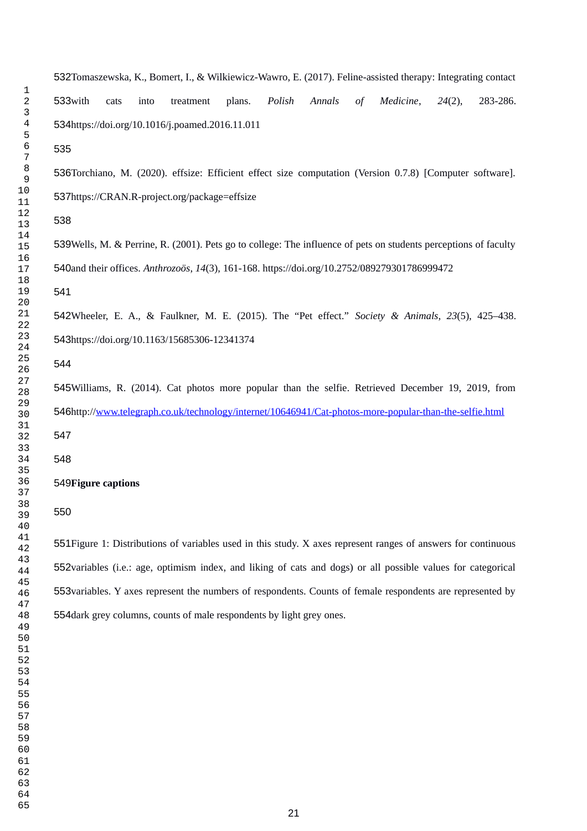532Tomaszewska, K., Bomert, I., & Wilkiewicz-Wawro, E. (2017). Feline-assisted therapy: Integrating contact with cats into treatment plans. *Polish Annals of Medicine*, *24*(2), 283-286. 534https://doi.org/10.1016/j.poamed.2016.11.011 536Torchiano, M. (2020). effsize: Efficient effect size computation (Version 0.7.8) [Computer software]. 537https://CRAN.R-project.org/package=effsize 539Wells, M. & Perrine, R. (2001). Pets go to college: The influence of pets on students perceptions of faculty 533with 

and their offices. *Anthrozoös*, *14*(3), 161-168. https://doi.org/10.2752/089279301786999472

Wheeler, E. A., & Faulkner, M. E. (2015). The "Pet effect." *Society & Animals*, *23*(5), 425–438. 543https://doi.org/10.1163/15685306-12341374

545Williams, R. (2014). Cat photos more popular than the selfie. Retrieved December 19, 2019, from 546http:/[/www.telegraph.co.uk/technology/internet/10646941/Cat-photos-more-popular-than-the-selfie.html](http://www.telegraph.co.uk/technology/internet/10646941/Cat-photos-more-popular-than-the-selfie.html) 

#### **Figure captions**

Figure 1: Distributions of variables used in this study. X axes represent ranges of answers for continuous 552 variables (i.e.: age, optimism index, and liking of cats and dogs) or all possible values for categorical 553 variables. Y axes represent the numbers of respondents. Counts of female respondents are represented by 554 dark grey columns, counts of male respondents by light grey ones.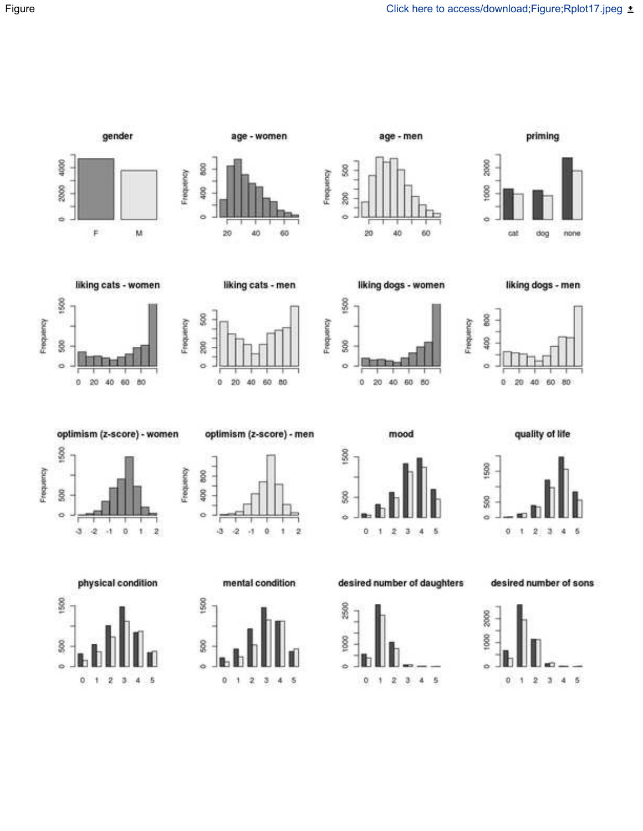priming



age - women



gender



S<sub>3</sub>

ä



age - men



Frequency

Frequency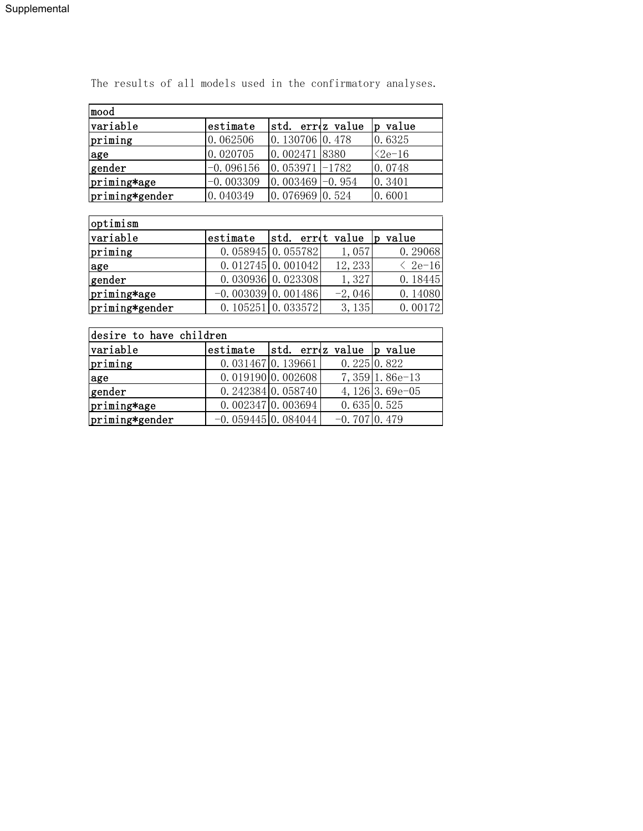| mood           |             |                    |  |                 |  |  |
|----------------|-------------|--------------------|--|-----------------|--|--|
| variable       | estimate    | std. erroz value   |  | value<br>ID     |  |  |
| priming        | 0.062506    | 0.130706 0.478     |  | 0.6325          |  |  |
| lage           | 0.020705    | 0.002471 8380      |  | $\langle 2e-16$ |  |  |
| gender         | $-0.096156$ | $0.053971 - 1782$  |  | 0.0748          |  |  |
| priming*age    | $-0.003309$ | $0.003469 - 0.954$ |  | 0.3401          |  |  |
| priming*gender | 0.040349    | 0.076969 0.524     |  | 0.6001          |  |  |

The results of all models used in the confirmatory analyses.

| optimism       |                      |                     |          |                 |  |  |
|----------------|----------------------|---------------------|----------|-----------------|--|--|
| variable       | estimate             | std. errot value    |          | value           |  |  |
| priming        |                      | $0.058945$ 0.055782 | 1,057    | 0.29068         |  |  |
| lage           |                      | $0.012745$ 0.001042 | 12, 233  | $\langle$ 2e-16 |  |  |
| gender         |                      | $0.030936$ 0.023308 | 1,327    | 0.18445         |  |  |
| priming*age    | $-0.003039$ 0.001486 |                     | $-2,046$ | 0.14080         |  |  |
| priming*gender |                      | $0.105251$ 0.033572 | 3, 135   | 0.00172         |  |  |

| desire to have children |                                  |                                 |                          |                   |  |  |
|-------------------------|----------------------------------|---------------------------------|--------------------------|-------------------|--|--|
| variable                | estimate                         |                                 | std. erroz value p value |                   |  |  |
| priming                 | $0.031467$ 0.139661              |                                 | 0.2250.822               |                   |  |  |
| lage                    |                                  | 0.01919000.002608               |                          | $7,359$ 1.86e-13  |  |  |
| gender                  |                                  | $0.242384 \vert 0.058740 \vert$ |                          | 4, $126$ 3.69e-05 |  |  |
| priming*age             |                                  | $0.002347$ 0.003694             |                          | 0.6350.525        |  |  |
| priming*gender          | $-0.059445 \vert 0.084044 \vert$ |                                 | $-0.707$ 0.479           |                   |  |  |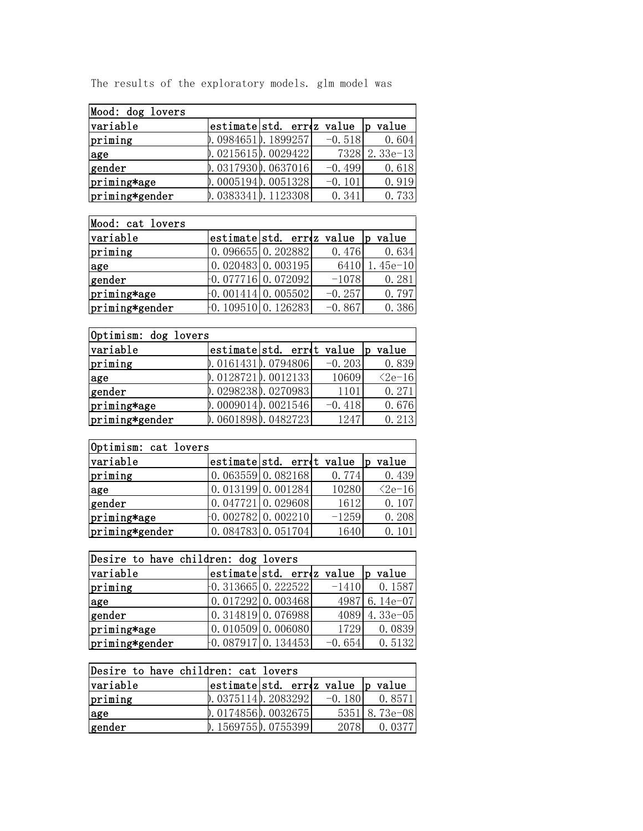| Mood: dog lovers |                         |                                   |               |
|------------------|-------------------------|-----------------------------------|---------------|
| variable         |                         | estimatesstd. errez value p value |               |
| priming          | $0.0984651$ , 1899257   | $-0.518$                          | 0.604         |
| lage             | $0.0215615$ , 0029422   |                                   | 7328 2.33e-13 |
| gender           | $0.0317930$ , 0637016   | $-0.499$                          | 0.618         |
| priming*age      | $0.0005194$ , 0051328   | $-0.101$                          | 0.919         |
| priming*gender   | $0.0383341$ $0.1123308$ | 0.341                             | 0.733         |

The results of the exploratory models. glm model was

| Mood: cat lovers |                                |                                  |          |               |
|------------------|--------------------------------|----------------------------------|----------|---------------|
| variable         |                                | estimatestd. erroz value p value |          |               |
| priming          |                                | $0.096655 \mid 0.202882 \mid$    | 0.476    | 0.634         |
| lage             |                                | $0.020483$ 0.003195              |          | 6410 1.45e-10 |
| gender           | $-0.077716$ 0.072092           |                                  | $-1078$  | 0.281         |
| priming*age      | $-0.001414 \mid 0.005502 \mid$ |                                  | $-0.257$ | 0.797         |
| priming*gender   | $-0.109510$ 0.126283           |                                  | $-0.867$ | 0.386         |

| Optimism: dog lovers |                         |  |                                  |              |  |  |
|----------------------|-------------------------|--|----------------------------------|--------------|--|--|
| variable             |                         |  | estimatestd. erret value p value |              |  |  |
| priming              | $0.0161431$ $0.0794806$ |  | $-0.203$                         | 0.839        |  |  |
| age                  | $0.0128721$ , 0012133   |  | 10609                            | $\leq 2e-16$ |  |  |
| gender               | 0.02982380.0270983      |  | 1101                             | 0.271        |  |  |
| priming*age          | $0.0009014$ $0.0021546$ |  | $-0.418$                         | 0.676        |  |  |
| priming*gender       | 0.06018980.0482723      |  | 1247                             | 0.213        |  |  |

| Optimism: cat lovers |  |                            |         |                 |  |  |
|----------------------|--|----------------------------|---------|-----------------|--|--|
| variable             |  | estimatestd. erret value p |         | value           |  |  |
| priming              |  | 0.06355900.082168          | 0.774   | 0.439           |  |  |
| age                  |  | $0.013199$ 0.001284        | 10280   | $\langle 2e-16$ |  |  |
| gender               |  | $0.047721$ 0.029608        | 1612    | 0.107           |  |  |
| priming*age          |  | $-0.002782$ 0.002210       | $-1259$ | 0.208           |  |  |
| priming*gender       |  | $0.084783$ 0.051704        | 1640    | 0.101           |  |  |

| Desire to have children: dog lovers |  |                                  |          |                |  |  |
|-------------------------------------|--|----------------------------------|----------|----------------|--|--|
| variable                            |  | estimatestd. errez value p value |          |                |  |  |
| priming                             |  | $-0.313665$ 0.222522             |          | $-1410$ 0.1587 |  |  |
| age                                 |  | $0.017292 \mid 0.003468 \mid$    |          | 4987 6.14e-07  |  |  |
| gender                              |  | $0.314819$ 0.076988              |          | 4089 4.33e-05  |  |  |
| priming*age                         |  | $0.010509$ 0.006080              | 1729     | 0.0839         |  |  |
| priming*gender                      |  | $-0.087917$ 0. 134453            | $-0.654$ | 0.5132         |  |  |

| Desire to have children: cat lovers |  |                                  |          |               |  |
|-------------------------------------|--|----------------------------------|----------|---------------|--|
| variable                            |  | estimatestd. erroz value p value |          |               |  |
| priming                             |  | $0.0375114$ , 2083292            | $-0.180$ | 0.8571        |  |
| age                                 |  | $0.0174856$ , 0032675            |          | 5351 8.73e-08 |  |
| gender                              |  | 0.15697550.0755399               | 2078     | 0.0377        |  |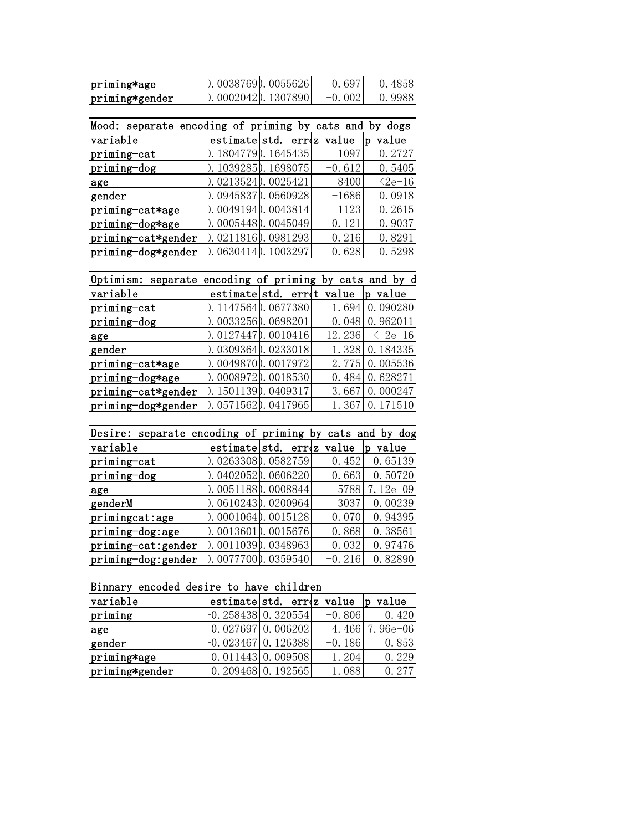| priming*age    | $0.0038769$ , 0055626 | 0.697    | 0.4858 |
|----------------|-----------------------|----------|--------|
| priming*gender | $0.0002042$ , 1307890 | $-0.002$ | 0.9988 |

| Mood: separate encoding of priming by cats and by dogs |                    |                          |          |                 |
|--------------------------------------------------------|--------------------|--------------------------|----------|-----------------|
| variable                                               |                    | estimatestd. errez value |          | value<br>D      |
| priming-cat                                            | 0.18047790.1645435 |                          | 1097     | 0.2727          |
| priming-dog                                            | 0.10392850.1698075 |                          | $-0.612$ | 0.5405          |
| age                                                    | 0.02135240.0025421 |                          | 8400     | $\langle 2e-16$ |
| gender                                                 | 0.09458370.0560928 |                          | $-1686$  | 0.0918          |
| priming-cat*age                                        | 0.00491940.0043814 |                          | $-1123$  | 0.2615          |
| priming-dog*age                                        | 0.00054480.0045049 |                          | $-0.121$ | 0.9037          |
| priming-cat*gender                                     | 0.02118160.0981293 |                          | 0.216    | 0.8291          |
| priming-dog*gender                                     | 0.06304140.1003297 |                          | 0.628    | 0.5298          |

| Optimism: separate encoding of priming by cats and by d |                         |                     |          |              |  |
|---------------------------------------------------------|-------------------------|---------------------|----------|--------------|--|
| variable                                                |                         | estimate std. erret | value    | value<br>D   |  |
| priming-cat                                             | 0.11475640.0677380      |                     | 1.694    | 0.090280     |  |
| priming-dog                                             | 0.00332560.0698201      |                     | $-0.048$ | 0.962011     |  |
| age                                                     | 0.01274470.0010416      |                     | 12.236   | $\leq 2e-16$ |  |
| gender                                                  | 0.03093640.0233018      |                     | 1.328    | 0.184335     |  |
| priming-cat*age                                         | 0.00498700.0017972      |                     | $-2.775$ | 0.005536     |  |
| priming-dog*age                                         | 0.00089720.0018530      |                     | $-0.484$ | 0.628271     |  |
| priming-cat*gender                                      | $0.1501139$ $0.0409317$ |                     | 3.667    | 0.000247     |  |
| priming-dog*gender                                      | 0.05715620.0417965      |                     | 1.367    | 0.171510     |  |

| Desire: separate encoding of priming by cats and by dog |                    |                          |          |            |  |
|---------------------------------------------------------|--------------------|--------------------------|----------|------------|--|
| variable                                                |                    | estimatestd. errez value |          | value<br>D |  |
| priming-cat                                             | 0.02633080.0582759 |                          | 0.452    | 0.65139    |  |
| priming-dog                                             | 0.04020520.0606220 |                          | $-0.663$ | 0.50720    |  |
| age                                                     | 0.00511880.0008844 |                          | 5788     | 7.12e-09   |  |
| genderM                                                 | 0.06102430.0200964 |                          | 3037     | 0.00239    |  |
| primingcat:age                                          | 0.00010640.0015128 |                          | 0.070    | 0.94395    |  |
| priming-dog:age                                         | 0.00136010.0015676 |                          | 0.868    | 0.38561    |  |
| priming-cat: gender                                     | 0.00110390.0348963 |                          | $-0.032$ | 0.97476    |  |
| priming-dog: gender                                     | 0.00777000.0359540 |                          | $-0.216$ | 0.82890    |  |

| Binnary encoded desire to have children |  |                                   |          |                |  |
|-----------------------------------------|--|-----------------------------------|----------|----------------|--|
| variable                                |  | estimatesstd. erroz value p value |          |                |  |
| priming                                 |  | $-0.258438$ 0.320554              | $-0.806$ | 0.420          |  |
| age                                     |  | $0.027697$ 0.006202               |          | 4.466 7.96e-06 |  |
| gender                                  |  | $-0.023467$ 0.126388              | $-0.186$ | 0.853          |  |
| priming*age                             |  | $0.011443 \mid 0.009508 \mid$     | 1.204    | 0.229          |  |
| priming*gender                          |  | $0.209468$ 0.192565               | 1.088    | 0.277          |  |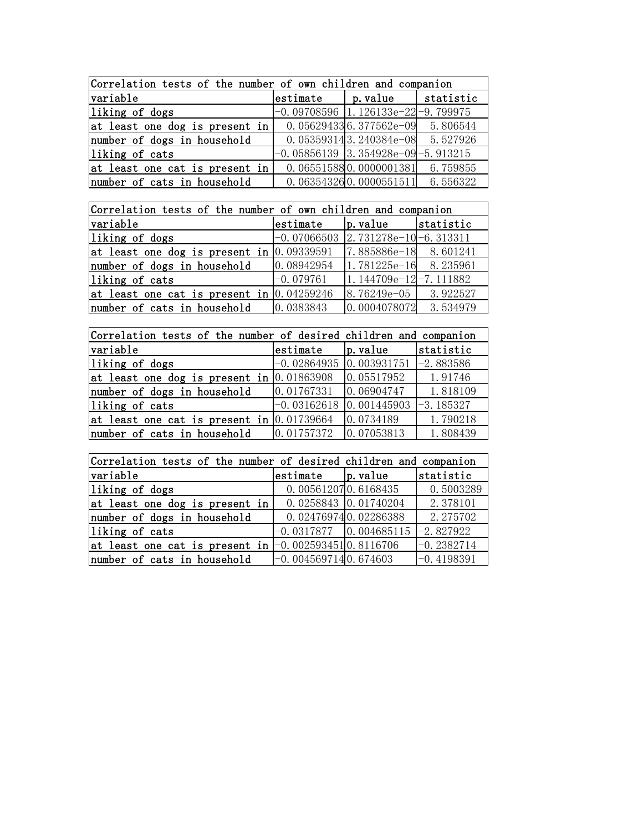| Correlation tests of the number of own children and companion |  |                                             |          |  |  |
|---------------------------------------------------------------|--|---------------------------------------------|----------|--|--|
| variable                                                      |  | $ $ estimate $ $ p. value $ $ statistic     |          |  |  |
| liking of dogs                                                |  | $-0.09708596$ $\vert$ 1.126133e-22-9.799975 |          |  |  |
| at least one dog is present in                                |  | $0.056294336.377562e-09$ 5.806544           |          |  |  |
| number of dogs in household                                   |  | $0.053593143.240384e-08$ 5.527926           |          |  |  |
| liking of cats                                                |  | $-0.05856139$ 3.354928e-09 -5.913215        |          |  |  |
| at least one cat is present in                                |  | 0.065515880.0000001381                      | 6.759855 |  |  |
| number of cats in household                                   |  | $0.063543260.0000551511$ 6.556322           |          |  |  |

| Correlation tests of the number of own children and companion |             |                                     |           |  |  |
|---------------------------------------------------------------|-------------|-------------------------------------|-----------|--|--|
| variable                                                      | estimate    | $\vert$ p. value                    | statistic |  |  |
| liking of dogs                                                |             | $-0.07066503$ 2.731278e-10-6.313311 |           |  |  |
| at least one dog is present in $[0.09339591]$                 |             | 7.885886e-18 8.601241               |           |  |  |
| number of dogs in household                                   | 0.08942954  | $1.781225e-16$ 8.235961             |           |  |  |
| liking of cats                                                | $-0.079761$ | $1.144709e-12-7.111882$             |           |  |  |
| at least one cat is present in $ 0.04259246 $                 |             | $8.76249e-05$ 3.922527              |           |  |  |
| number of cats in household                                   | 0.0383843   | $0.0004078072$ 3.534979             |           |  |  |

| Correlation tests of the number of desired children and companion |                                           |                                                                                |           |  |  |
|-------------------------------------------------------------------|-------------------------------------------|--------------------------------------------------------------------------------|-----------|--|--|
| variable                                                          | estimate                                  | p. value                                                                       | statistic |  |  |
| liking of dogs                                                    |                                           | $-0.02864935$ 0.003931751 $-2.883586$                                          |           |  |  |
| at least one dog is present in $[0.01863908]$                     |                                           | 0.05517952                                                                     | 1.91746   |  |  |
| number of dogs in household                                       | 0.01767331                                | 0.06904747                                                                     | 1.818109  |  |  |
| liking of cats                                                    |                                           | $\left[-0.03162618\right]$ $\left[0.001445903\right]$ $\left[-3.185327\right]$ |           |  |  |
| at least one cat is present in $[0.01739664]$                     |                                           | 0.0734189                                                                      | 1.790218  |  |  |
| number of cats in household                                       | $\vert 0.01757372 \vert 0.07053813 \vert$ |                                                                                | 1.808439  |  |  |

| Correlation tests of the number of desired children and companion |                        |                                      |              |  |  |
|-------------------------------------------------------------------|------------------------|--------------------------------------|--------------|--|--|
| variable                                                          | $estimate$ $ p.value$  |                                      | statistic    |  |  |
| liking of dogs                                                    |                        | 0.005612070.6168435                  | 0.5003289    |  |  |
| at least one dog is present in                                    |                        | $0.0258843$ 0.01740204               | 2.378101     |  |  |
| number of dogs in household                                       |                        | 0.024769740.02286388                 | 2.275702     |  |  |
| liking of cats                                                    |                        | $-0.0317877$ 0.004685115 $-2.827922$ |              |  |  |
| at least one cat is present in $[-0.002593451]0.8116706$          |                        |                                      | $-0.2382714$ |  |  |
| number of cats in household                                       | $-0.0045697140.674603$ |                                      | $-0.4198391$ |  |  |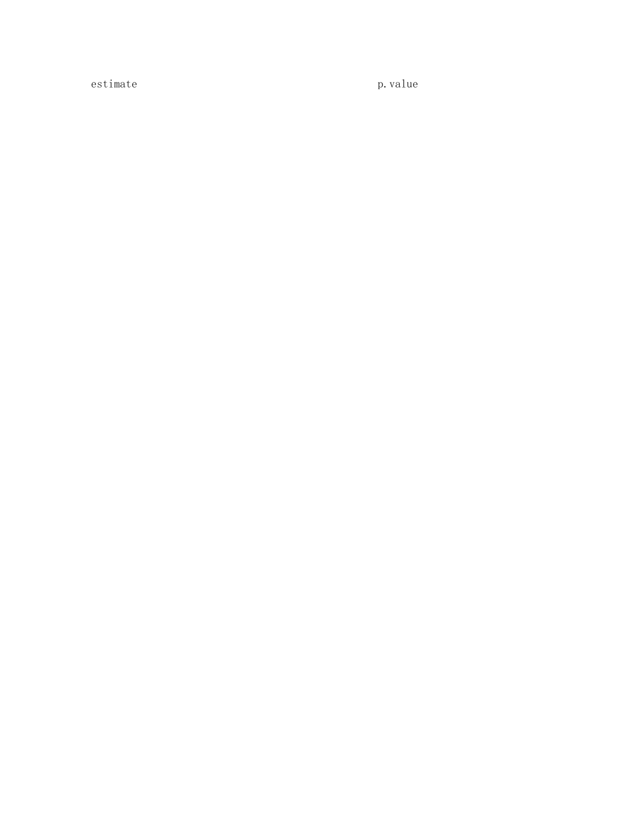estimate p.value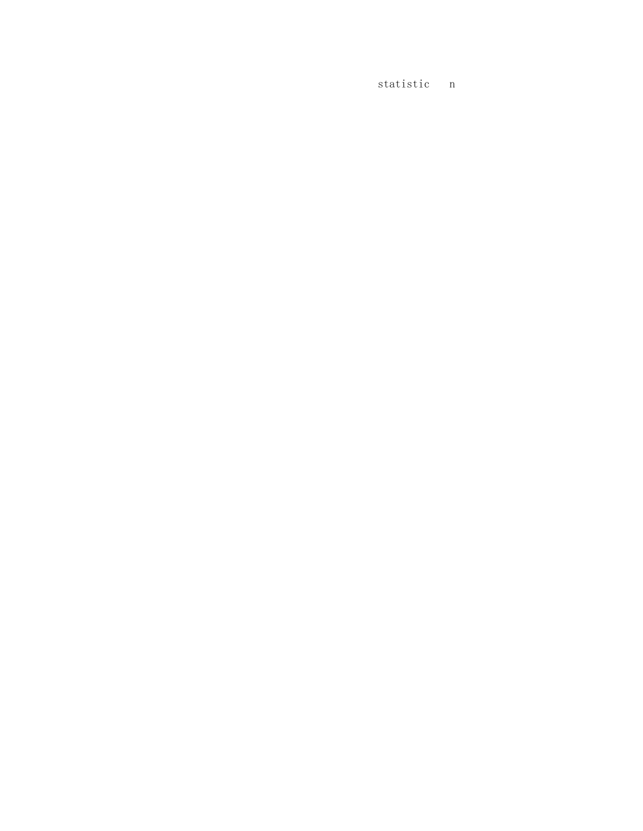statistic n